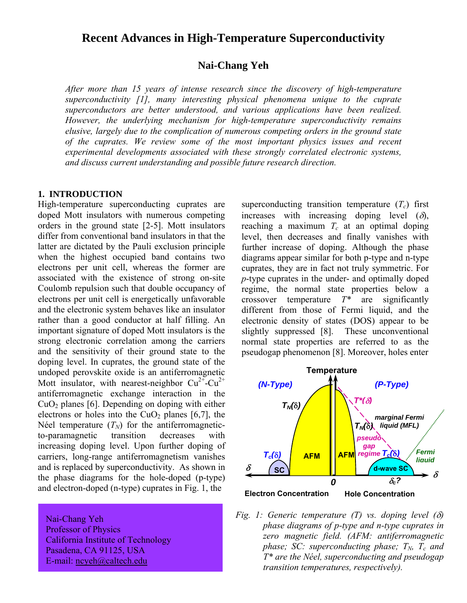# **Recent Advances in High-Temperature Superconductivity**

# **Nai-Chang Yeh**

*After more than 15 years of intense research since the discovery of high-temperature superconductivity [1], many interesting physical phenomena unique to the cuprate superconductors are better understood, and various applications have been realized. However, the underlying mechanism for high-temperature superconductivity remains elusive, largely due to the complication of numerous competing orders in the ground state of the cuprates. We review some of the most important physics issues and recent experimental developments associated with these strongly correlated electronic systems, and discuss current understanding and possible future research direction.* 

### **1. INTRODUCTION**

High-temperature superconducting cuprates are doped Mott insulators with numerous competing orders in the ground state [2-5]. Mott insulators differ from conventional band insulators in that the latter are dictated by the Pauli exclusion principle when the highest occupied band contains two electrons per unit cell, whereas the former are associated with the existence of strong on-site Coulomb repulsion such that double occupancy of electrons per unit cell is energetically unfavorable and the electronic system behaves like an insulator rather than a good conductor at half filling. An important signature of doped Mott insulators is the strong electronic correlation among the carriers and the sensitivity of their ground state to the doping level. In cuprates, the ground state of the undoped perovskite oxide is an antiferromagnetic Mott insulator, with nearest-neighbor  $Cu^{2+}-Cu^{2+}$ antiferromagnetic exchange interaction in the  $CuO<sub>2</sub>$  planes [6]. Depending on doping with either electrons or holes into the  $CuO<sub>2</sub>$  planes [6,7], the Néel temperature  $(T_N)$  for the antiferromagneticto-paramagnetic transition decreases with increasing doping level. Upon further doping of carriers, long-range antiferromagnetism vanishes and is replaced by superconductivity. As shown in the phase diagrams for the hole-doped (p-type) and electron-doped (n-type) cuprates in Fig. 1, the

 Nai-Chang Yeh Professor of Physics California Institute of Technology Pasadena, CA 91125, USA E-mail: ncyeh@caltech.edu

superconducting transition temperature  $(T_c)$  first increases with increasing doping level  $(\delta)$ , reaching a maximum  $T_c$  at an optimal doping level, then decreases and finally vanishes with further increase of doping. Although the phase diagrams appear similar for both p-type and n-type cuprates, they are in fact not truly symmetric. For *p*-type cuprates in the under- and optimally doped regime, the normal state properties below a crossover temperature *T\** are significantly different from those of Fermi liquid, and the electronic density of states (DOS) appear to be slightly suppressed [8]. These unconventional normal state properties are referred to as the pseudogap phenomenon [8]. Moreover, holes enter



*Fig. 1: Generic temperature (T) vs. doping level (*δ*) phase diagrams of p-type and n-type cuprates in zero magnetic field. (AFM: antiferromagnetic phase;* SC: superconducting phase;  $T_N$ ,  $T_c$  and *T\* are the NÈel, superconducting and pseudogap transition temperatures, respectively).*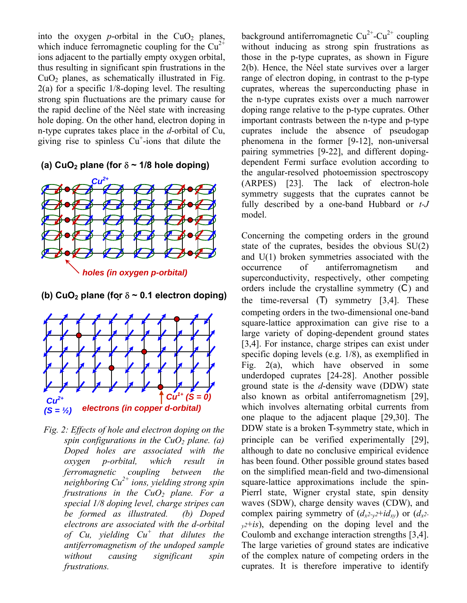into the oxygen *p*-orbital in the  $CuO<sub>2</sub>$  planes, which induce ferromagnetic coupling for the  $Cu^{2+}$ ions adjacent to the partially empty oxygen orbital, thus resulting in significant spin frustrations in the  $CuO<sub>2</sub>$  planes, as schematically illustrated in Fig. 2(a) for a specific 1/8-doping level. The resulting strong spin fluctuations are the primary cause for the rapid decline of the Néel state with increasing hole doping. On the other hand, electron doping in n-type cuprates takes place in the *d*-orbital of Cu, giving rise to spinless  $Cu^+$ -ions that dilute the

**(a) CuO2 plane (for** δ **~ 1/8 hole doping)** 



**(b) CuO2 plane (for** δ **~ 0.1 electron doping)**



*Fig. 2: Effects of hole and electron doping on the spin configurations in the CuO<sub>2</sub> plane. (a) Doped holes are associated with the oxygen p-orbital, which result in ferromagnetic coupling between the neighboring Cu2+ ions, yielding strong spin frustrations in the CuO2 plane. For a special 1/8 doping level, charge stripes can be formed as illustrated. (b) Doped electrons are associated with the d-orbital of Cu, yielding Cu<sup>+</sup> that dilutes the antiferromagnetism of the undoped sample without causing significant spin frustrations.* 

background antiferromagnetic  $Cu^{2+}$ -Cu<sup>2+</sup> coupling without inducing as strong spin frustrations as those in the p-type cuprates, as shown in Figure  $2(b)$ . Hence, the Néel state survives over a larger range of electron doping, in contrast to the p-type cuprates, whereas the superconducting phase in the n-type cuprates exists over a much narrower doping range relative to the p-type cuprates. Other important contrasts between the n-type and p-type cuprates include the absence of pseudogap phenomena in the former [9-12], non-universal pairing symmetries [9-22], and different dopingdependent Fermi surface evolution according to the angular-resolved photoemission spectroscopy (ARPES) [23]. The lack of electron-hole symmetry suggests that the cuprates cannot be fully described by a one-band Hubbard or *t-J* model.

Concerning the competing orders in the ground state of the cuprates, besides the obvious SU(2) and U(1) broken symmetries associated with the occurrence of antiferromagnetism and superconductivity, respectively, other competing orders include the crystalline symmetry (C) and the time-reversal (T) symmetry [3,4]. These competing orders in the two-dimensional one-band square-lattice approximation can give rise to a large variety of doping-dependent ground states [3,4]. For instance, charge stripes can exist under specific doping levels (e.g. 1/8), as exemplified in Fig. 2(a), which have observed in some underdoped cuprates [24-28]. Another possible ground state is the *d*-density wave (DDW) state also known as orbital antiferromagnetism [29], which involves alternating orbital currents from one plaque to the adjacent plaque [29,30]. The DDW state is a broken T-symmetry state, which in principle can be verified experimentally [29], although to date no conclusive empirical evidence has been found. Other possible ground states based on the simplified mean-field and two-dimensional square-lattice approximations include the spin-Pierrl state, Wigner crystal state, spin density waves (SDW), charge density waves (CDW), and complex pairing symmetry of  $(d_{x^2-y^2}+id_{xy})$  or  $(d_{x^2-y^2}+id_{xy})$  $y^2+is$ , depending on the doping level and the Coulomb and exchange interaction strengths [3,4]. The large varieties of ground states are indicative of the complex nature of competing orders in the cuprates. It is therefore imperative to identify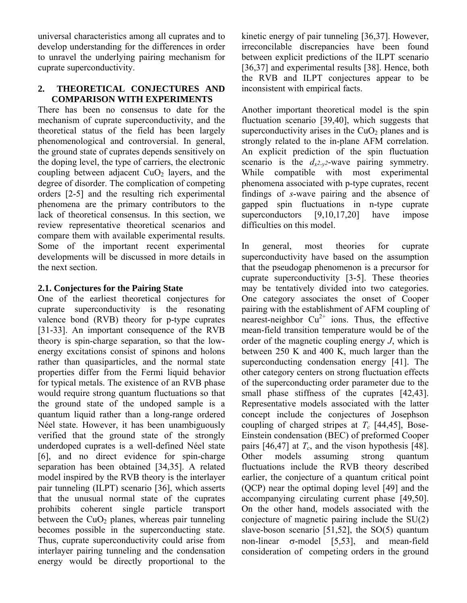universal characteristics among all cuprates and to develop understanding for the differences in order to unravel the underlying pairing mechanism for cuprate superconductivity.

## **2. THEORETICAL CONJECTURES AND COMPARISON WITH EXPERIMENTS**

There has been no consensus to date for the mechanism of cuprate superconductivity, and the theoretical status of the field has been largely phenomenological and controversial. In general, the ground state of cuprates depends sensitively on the doping level, the type of carriers, the electronic coupling between adjacent  $CuO<sub>2</sub>$  layers, and the degree of disorder. The complication of competing orders [2-5] and the resulting rich experimental phenomena are the primary contributors to the lack of theoretical consensus. In this section, we review representative theoretical scenarios and compare them with available experimental results. Some of the important recent experimental developments will be discussed in more details in the next section.

## **2.1. Conjectures for the Pairing State**

One of the earliest theoretical conjectures for cuprate superconductivity is the resonating valence bond (RVB) theory for p-type cuprates [31-33]. An important consequence of the RVB theory is spin-charge separation, so that the lowenergy excitations consist of spinons and holons rather than quasiparticles, and the normal state properties differ from the Fermi liquid behavior for typical metals. The existence of an RVB phase would require strong quantum fluctuations so that the ground state of the undoped sample is a quantum liquid rather than a long-range ordered Néel state. However, it has been unambiguously verified that the ground state of the strongly underdoped cuprates is a well-defined Néel state [6], and no direct evidence for spin-charge separation has been obtained [34,35]. A related model inspired by the RVB theory is the interlayer pair tunneling (ILPT) scenario [36], which asserts that the unusual normal state of the cuprates prohibits coherent single particle transport between the  $CuO<sub>2</sub>$  planes, whereas pair tunneling becomes possible in the superconducting state. Thus, cuprate superconductivity could arise from interlayer pairing tunneling and the condensation energy would be directly proportional to the kinetic energy of pair tunneling [36,37]. However, irreconcilable discrepancies have been found between explicit predictions of the ILPT scenario [36,37] and experimental results [38]. Hence, both the RVB and ILPT conjectures appear to be inconsistent with empirical facts.

Another important theoretical model is the spin fluctuation scenario [39,40], which suggests that superconductivity arises in the  $CuO<sub>2</sub>$  planes and is strongly related to the in-plane AFM correlation. An explicit prediction of the spin fluctuation scenario is the  $d_{x^2-y^2}$ -wave pairing symmetry. While compatible with most experimental phenomena associated with p-type cuprates, recent findings of *s*-wave pairing and the absence of gapped spin fluctuations in n-type cuprate superconductors [9,10,17,20] have impose difficulties on this model.

In general, most theories for cuprate superconductivity have based on the assumption that the pseudogap phenomenon is a precursor for cuprate superconductivity [3-5]. These theories may be tentatively divided into two categories. One category associates the onset of Cooper pairing with the establishment of AFM coupling of nearest-neighbor  $Cu^{2+}$  ions. Thus, the effective mean-field transition temperature would be of the order of the magnetic coupling energy *J*, which is between 250 K and 400 K, much larger than the superconducting condensation energy [41]. The other category centers on strong fluctuation effects of the superconducting order parameter due to the small phase stiffness of the cuprates [42,43]. Representative models associated with the latter concept include the conjectures of Josephson coupling of charged stripes at  $T_c$  [44,45], Bose-Einstein condensation (BEC) of preformed Cooper pairs [46,47] at  $T_c$ , and the vison hypothesis [48]. Other models assuming strong quantum fluctuations include the RVB theory described earlier, the conjecture of a quantum critical point (QCP) near the optimal doping level [49] and the accompanying circulating current phase [49,50]. On the other hand, models associated with the conjecture of magnetic pairing include the SU(2) slave-boson scenario [51,52], the SO(5) quantum non-linear σ-model [5,53], and mean-field consideration of competing orders in the ground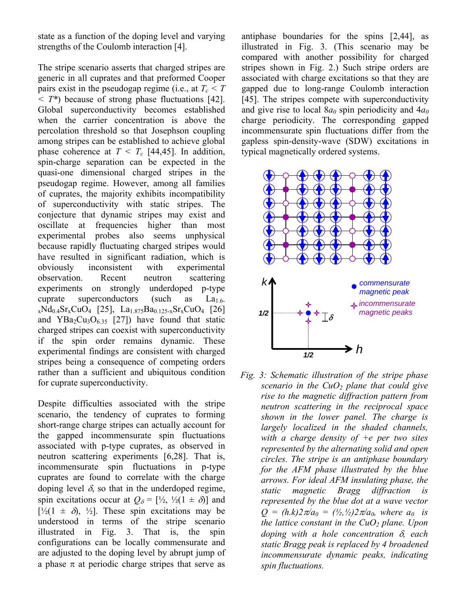state as a function of the doping level and varying strengths of the Coulomb interaction [4].

The stripe scenario asserts that charged stripes are generic in all cuprates and that preformed Cooper pairs exist in the pseudogap regime (i.e., at  $T_c \leq T$ *< T\**) because of strong phase fluctuations [42]. Global superconductivity becomes established when the carrier concentration is above the percolation threshold so that Josephson coupling among stripes can be established to achieve global phase coherence at  $T < T_c$  [44,45]. In addition, spin-charge separation can be expected in the quasi-one dimensional charged stripes in the pseudogap regime. However, among all families of cuprates, the majority exhibits incompatibility of superconductivity with static stripes. The conjecture that dynamic stripes may exist and oscillate at frequencies higher than most experimental probes also seems unphysical because rapidly fluctuating charged stripes would have resulted in significant radiation, which is obviously inconsistent with experimental observation. Recent neutron scattering experiments on strongly underdoped p-type cuprate superconductors (such as  $La<sub>1.6</sub>$  $_{x}Nd_{0.4}Sr_{x}CuO_{4}$  [25], La<sub>1.875</sub>Ba<sub>0.125-x</sub>Sr<sub>x</sub>CuO<sub>4</sub> [26] and  $YBa<sub>2</sub>Cu<sub>3</sub>O<sub>6.35</sub>$  [27]) have found that static charged stripes can coexist with superconductivity if the spin order remains dynamic. These experimental findings are consistent with charged stripes being a consequence of competing orders rather than a sufficient and ubiquitous condition for cuprate superconductivity.

Despite difficulties associated with the stripe scenario, the tendency of cuprates to forming short-range charge stripes can actually account for the gapped incommensurate spin fluctuations associated with p-type cuprates, as observed in neutron scattering experiments [6,28]. That is, incommensurate spin fluctuations in p-type cuprates are found to correlate with the charge doping level  $\delta$ , so that in the underdoped regime, spin excitations occur at  $Q_{\delta} = [\frac{1}{2}, \frac{1}{2}(1 \pm \delta)]$  and  $[\frac{1}{2}(1 \pm \delta), \frac{1}{2}]$ . These spin excitations may be understood in terms of the stripe scenario illustrated in Fig. 3. That is, the spin configurations can be locally commensurate and are adjusted to the doping level by abrupt jump of a phase  $\pi$  at periodic charge stripes that serve as

antiphase boundaries for the spins [2,44], as illustrated in Fig. 3. (This scenario may be compared with another possibility for charged stripes shown in Fig. 2.) Such stripe orders are associated with charge excitations so that they are gapped due to long-range Coulomb interaction [45]. The stripes compete with superconductivity and give rise to local  $8a_0$  spin periodicity and  $4a_0$ charge periodicity. The corresponding gapped incommensurate spin fluctuations differ from the gapless spin-density-wave (SDW) excitations in typical magnetically ordered systems.



*Fig. 3: Schematic illustration of the stripe phase scenario in the CuO2 plane that could give rise to the magnetic diffraction pattern from neutron scattering in the reciprocal space shown in the lower panel. The charge is largely localized in the shaded channels, with a charge density of +e per two sites represented by the alternating solid and open circles. The stripe is an antiphase boundary for the AFM phase illustrated by the blue arrows. For ideal AFM insulating phase, the static magnetic Bragg diffraction is represented by the blue dot at a wave vector*   $Q = (h.k)2\pi/a_0 = (l_2, l_2)2\pi/a_0$ , where  $a_0$  is *the lattice constant in the CuO2 plane. Upon doping with a hole concentration* δ*, each static Bragg peak is replaced by 4 broadened incommensurate dynamic peaks, indicating spin fluctuations.*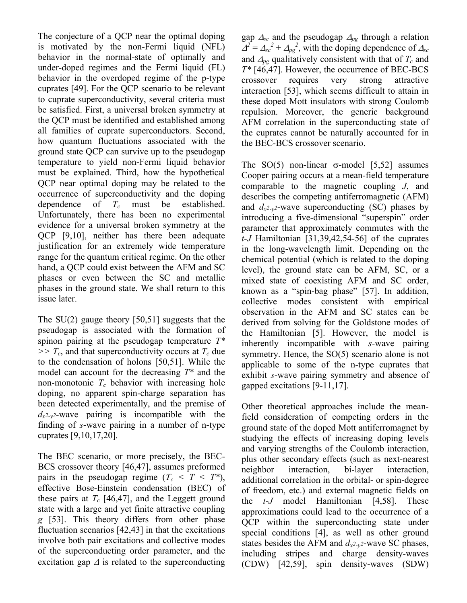The conjecture of a QCP near the optimal doping is motivated by the non-Fermi liquid (NFL) behavior in the normal-state of optimally and under-doped regimes and the Fermi liquid (FL) behavior in the overdoped regime of the p-type cuprates [49]. For the QCP scenario to be relevant to cuprate superconductivity, several criteria must be satisfied. First, a universal broken symmetry at the QCP must be identified and established among all families of cuprate superconductors. Second, how quantum fluctuations associated with the ground state QCP can survive up to the pseudogap temperature to yield non-Fermi liquid behavior must be explained. Third, how the hypothetical QCP near optimal doping may be related to the occurrence of superconductivity and the doping dependence of *Tc* must be established. Unfortunately, there has been no experimental evidence for a universal broken symmetry at the QCP [9,10], neither has there been adequate justification for an extremely wide temperature range for the quantum critical regime. On the other hand, a QCP could exist between the AFM and SC phases or even between the SC and metallic phases in the ground state. We shall return to this issue later.

The SU(2) gauge theory [50,51] suggests that the pseudogap is associated with the formation of spinon pairing at the pseudogap temperature *T\**   $>> T_c$ , and that superconductivity occurs at  $T_c$  due to the condensation of holons [50,51]. While the model can account for the decreasing *T\** and the non-monotonic  $T_c$  behavior with increasing hole doping, no apparent spin-charge separation has been detected experimentally, and the premise of  $d_{x^2-y^2}$ -wave pairing is incompatible with the finding of *s*-wave pairing in a number of n-type cuprates [9,10,17,20].

The BEC scenario, or more precisely, the BEC-BCS crossover theory [46,47], assumes preformed pairs in the pseudogap regime  $(T_c < T < T^*)$ , effective Bose-Einstein condensation (BEC) of these pairs at  $T_c$  [46,47], and the Leggett ground state with a large and yet finite attractive coupling *g* [53]. This theory differs from other phase fluctuation scenarios [42,43] in that the excitations involve both pair excitations and collective modes of the superconducting order parameter, and the excitation gap  $\Delta$  is related to the superconducting gap <sup>∆</sup>*sc* and the pseudogap <sup>∆</sup>*pg* through a relation  $\Delta^2 = \Delta_{sc}^2 + \Delta_{pg}^2$ , with the doping dependence of  $\Delta_{sc}$ and  $\Delta_{pg}$  qualitatively consistent with that of  $T_c$  and *T\** [46,47]. However, the occurrence of BEC-BCS crossover requires very strong attractive interaction [53], which seems difficult to attain in these doped Mott insulators with strong Coulomb repulsion. Moreover, the generic background AFM correlation in the superconducting state of the cuprates cannot be naturally accounted for in the BEC-BCS crossover scenario.

The SO(5) non-linear  $\sigma$ -model [5,52] assumes Cooper pairing occurs at a mean-field temperature comparable to the magnetic coupling *J*, and describes the competing antiferromagnetic (AFM) and  $d_{x^2-y^2}$ -wave superconducting (SC) phases by introducing a five-dimensional "superspin" order parameter that approximately commutes with the *t-J* Hamiltonian [31,39,42,54-56] of the cuprates in the long-wavelength limit. Depending on the chemical potential (which is related to the doping level), the ground state can be AFM, SC, or a mixed state of coexisting AFM and SC order, known as a "spin-bag phase"  $[57]$ . In addition, collective modes consistent with empirical observation in the AFM and SC states can be derived from solving for the Goldstone modes of the Hamiltonian [5]. However, the model is inherently incompatible with *s*-wave pairing symmetry. Hence, the SO(5) scenario alone is not applicable to some of the n-type cuprates that exhibit *s*-wave pairing symmetry and absence of gapped excitations [9-11,17].

Other theoretical approaches include the meanfield consideration of competing orders in the ground state of the doped Mott antiferromagnet by studying the effects of increasing doping levels and varying strengths of the Coulomb interaction, plus other secondary effects (such as next-nearest neighbor interaction, bi-layer interaction, additional correlation in the orbital- or spin-degree of freedom, etc.) and external magnetic fields on the *t-J* model Hamiltonian [4,58]. These approximations could lead to the occurrence of a QCP within the superconducting state under special conditions [4], as well as other ground states besides the AFM and  $d_{x^2-y^2}$ -wave SC phases, including stripes and charge density-waves (CDW) [42,59], spin density-waves (SDW)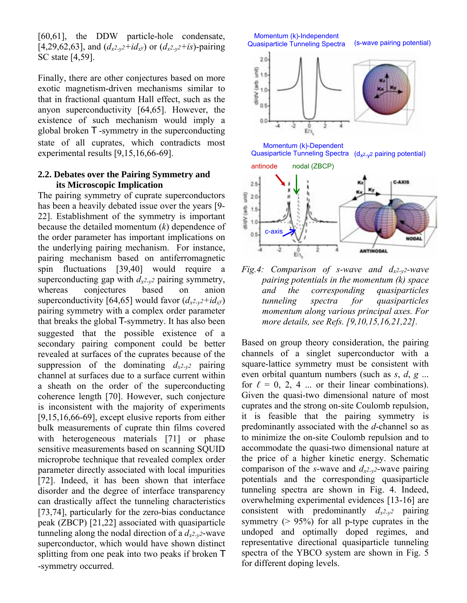[60,61], the DDW particle-hole condensate, [4,29,62,63], and  $(d_{x^2-y^2}+id_{x^y})$  or  $(d_{x^2-y^2}+is)$ -pairing SC state [4,59].

Finally, there are other conjectures based on more exotic magnetism-driven mechanisms similar to that in fractional quantum Hall effect, such as the anyon superconductivity [64,65]. However, the existence of such mechanism would imply a global broken T -symmetry in the superconducting state of all cuprates, which contradicts most experimental results [9,15,16,66-69].

## **2.2. Debates over the Pairing Symmetry and its Microscopic Implication**

The pairing symmetry of cuprate superconductors has been a heavily debated issue over the years [9- 22]. Establishment of the symmetry is important because the detailed momentum (*k*) dependence of the order parameter has important implications on the underlying pairing mechanism. For instance, pairing mechanism based on antiferromagnetic spin fluctuations [39,40] would require a superconducting gap with  $d_{x^2-y^2}$  pairing symmetry, whereas conjectures based on anion superconductivity [64,65] would favor  $(d_{x^2-y^2}+id_{x^y})$ pairing symmetry with a complex order parameter that breaks the global T-symmetry. It has also been suggested that the possible existence of a secondary pairing component could be better revealed at surfaces of the cuprates because of the suppression of the dominating  $d_{x^2-y^2}$  pairing channel at surfaces due to a surface current within a sheath on the order of the superconducting coherence length [70]. However, such conjecture is inconsistent with the majority of experiments [9,15,16,66-69], except elusive reports from either bulk measurements of cuprate thin films covered with heterogeneous materials [71] or phase sensitive measurements based on scanning SQUID microprobe technique that revealed complex order parameter directly associated with local impurities [72]. Indeed, it has been shown that interface disorder and the degree of interface transparency can drastically affect the tunneling characteristics [73,74], particularly for the zero-bias conductance peak (ZBCP) [21,22] associated with quasiparticle tunneling along the nodal direction of a  $d_{x^2-y^2}$ -wave superconductor, which would have shown distinct splitting from one peak into two peaks if broken T -symmetry occurred.



*Fig.4: Comparison of s-wave and dx2-y2-wave pairing potentials in the momentum (k) space and the corresponding quasiparticles tunneling spectra for quasiparticles momentum along various principal axes. For more details, see Refs. [9,10,15,16,21,22].* 

Based on group theory consideration, the pairing channels of a singlet superconductor with a square-lattice symmetry must be consistent with even orbital quantum numbers (such as *s*, *d*, *g* ... for  $\ell = 0, 2, 4$  ... or their linear combinations). Given the quasi-two dimensional nature of most cuprates and the strong on-site Coulomb repulsion, it is feasible that the pairing symmetry is predominantly associated with the *d*-channel so as to minimize the on-site Coulomb repulsion and to accommodate the quasi-two dimensional nature at the price of a higher kinetic energy. Schematic comparison of the *s*-wave and  $d_{x^2-y^2}$ -wave pairing potentials and the corresponding quasiparticle tunneling spectra are shown in Fig. 4. Indeed, overwhelming experimental evidences [13-16] are consistent with predominantly  $d_{x^2-y^2}$  pairing symmetry  $(> 95\%)$  for all p-type cuprates in the undoped and optimally doped regimes, and representative directional quasiparticle tunneling spectra of the YBCO system are shown in Fig. 5 for different doping levels.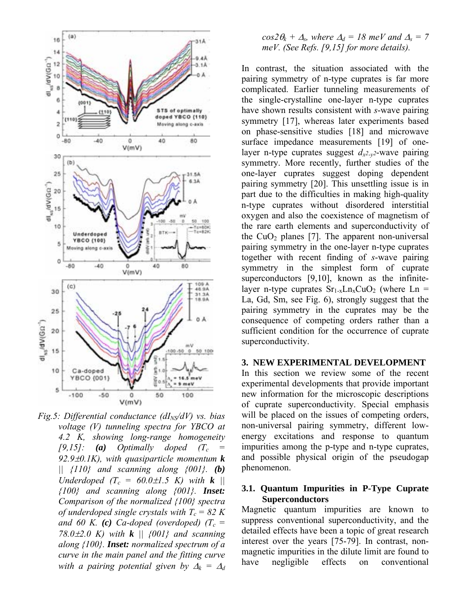

*Fig.5: Differential conductance (dI<sub>NS</sub>/dV) vs. bias voltage (V) tunneling spectra for YBCO at 4.2 K, showing long-range homogeneity*   $[9,15]$ : **(a)** Optimally doped  $(T_c =$ *92.9*±*0.1K), with quasiparticle momentum k || {110} and scanning along {001}. (b) Underdoped*  $(T_c = 60.0 \pm 1.5 \text{ K})$  with **k** || *{100} and scanning along {001}. Inset: Comparison of the normalized {100} spectra of underdoped single crystals with*  $T_c = 82 K$ and 60 K. (c) Ca-doped (overdoped) ( $T_c$  = *78.0*±*2.0 K) with k || {001} and scanning along {100}. Inset: normalized spectrum of a curve in the main panel and the fitting curve with a pairing potential given by*  $\Delta_k = \Delta_d$ 

### $cos2\theta_k + \Delta_s$ , where  $\Delta_d = 18$  meV and  $\Delta_s = 7$ *meV. (See Refs. [9,15] for more details).*

In contrast, the situation associated with the pairing symmetry of n-type cuprates is far more complicated. Earlier tunneling measurements of the single-crystalline one-layer n-type cuprates have shown results consistent with *s*-wave pairing symmetry [17], whereas later experiments based on phase-sensitive studies [18] and microwave surface impedance measurements [19] of onelayer n-type cuprates suggest  $d_{x^2-y^2}$ -wave pairing symmetry. More recently, further studies of the one-layer cuprates suggest doping dependent pairing symmetry [20]. This unsettling issue is in part due to the difficulties in making high-quality n-type cuprates without disordered interstitial oxygen and also the coexistence of magnetism of the rare earth elements and superconductivity of the  $CuO<sub>2</sub>$  planes [7]. The apparent non-universal pairing symmetry in the one-layer n-type cuprates together with recent finding of *s*-wave pairing symmetry in the simplest form of cuprate superconductors [9,10], known as the infinitelayer n-type cuprates  $Sr_{1-x}Ln_xCuO_2$  (where Ln = La, Gd, Sm, see Fig. 6), strongly suggest that the pairing symmetry in the cuprates may be the consequence of competing orders rather than a sufficient condition for the occurrence of cuprate superconductivity.

#### **3. NEW EXPERIMENTAL DEVELOPMENT**

In this section we review some of the recent experimental developments that provide important new information for the microscopic descriptions of cuprate superconductivity. Special emphasis will be placed on the issues of competing orders, non-universal pairing symmetry, different lowenergy excitations and response to quantum impurities among the p-type and n-type cuprates, and possible physical origin of the pseudogap phenomenon.

#### **3.1. Quantum Impurities in P-Type Cuprate Superconductors**

Magnetic quantum impurities are known to suppress conventional superconductivity, and the detailed effects have been a topic of great research interest over the years [75-79]. In contrast, nonmagnetic impurities in the dilute limit are found to have negligible effects on conventional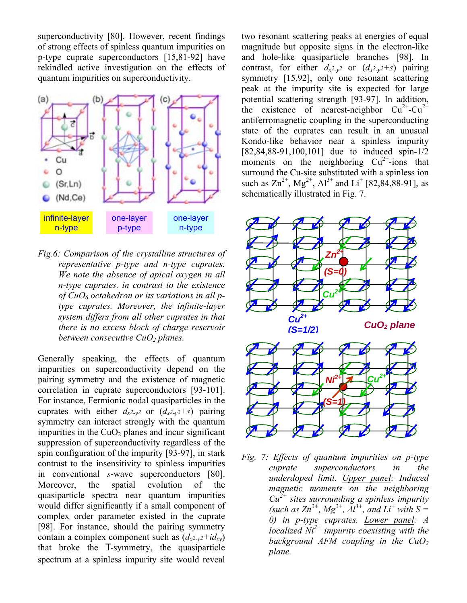superconductivity [80]. However, recent findings of strong effects of spinless quantum impurities on p-type cuprate superconductors [15,81-92] have rekindled active investigation on the effects of quantum impurities on superconductivity.



*Fig.6: Comparison of the crystalline structures of representative p-type and n-type cuprates. We note the absence of apical oxygen in all n-type cuprates, in contrast to the existence of CuO6 octahedron or its variations in all ptype cuprates. Moreover, the infinite-layer system differs from all other cuprates in that there is no excess block of charge reservoir between consecutive CuO2 planes.* 

Generally speaking, the effects of quantum impurities on superconductivity depend on the pairing symmetry and the existence of magnetic correlation in cuprate superconductors [93-101]. For instance, Fermionic nodal quasiparticles in the cuprates with either  $d_{x^2-y^2}$  or  $(d_{x^2-y^2+s})$  pairing symmetry can interact strongly with the quantum impurities in the  $CuO<sub>2</sub>$  planes and incur significant suppression of superconductivity regardless of the spin configuration of the impurity [93-97], in stark contrast to the insensitivity to spinless impurities in conventional *s*-wave superconductors [80]. Moreover, the spatial evolution of the quasiparticle spectra near quantum impurities would differ significantly if a small component of complex order parameter existed in the cuprate [98]. For instance, should the pairing symmetry contain a complex component such as  $(d_{x^2-y^2}+id_{xy})$ that broke the T-symmetry, the quasiparticle spectrum at a spinless impurity site would reveal

two resonant scattering peaks at energies of equal magnitude but opposite signs in the electron-like and hole-like quasiparticle branches [98]. In contrast, for either  $d_{x^2-y^2}$  or  $(d_{x^2-y^2}+s)$  pairing symmetry [15,92], only one resonant scattering peak at the impurity site is expected for large potential scattering strength [93-97]. In addition, the existence of nearest-neighbor  $Cu^{2+}-Cu^{2+}$ antiferromagnetic coupling in the superconducting state of the cuprates can result in an unusual Kondo-like behavior near a spinless impurity [82,84,88-91,100,101] due to induced spin-1/2 moments on the neighboring  $Cu^{2+}$ -ions that surround the Cu-site substituted with a spinless ion such as  $\text{Zn}^{2+}$ , Mg<sup>2+</sup>, Al<sup>3+</sup> and Li<sup>+</sup> [82,84,88-91], as schematically illustrated in Fig. 7.



*Fig. 7: Effects of quantum impurities on p-type cuprate superconductors in the underdoped limit. Upper panel: Induced magnetic moments on the neighboring Cu2+ sites surrounding a spinless impurity*   $(such \ as \ Zn^{2+}, Mg^{2+}, Al^{3+}, and \ Li^{+} \ with \ S=$ *0) in p-type cuprates. Lower panel: A localized Ni2+ impurity coexisting with the background AFM coupling in the CuO2 plane.*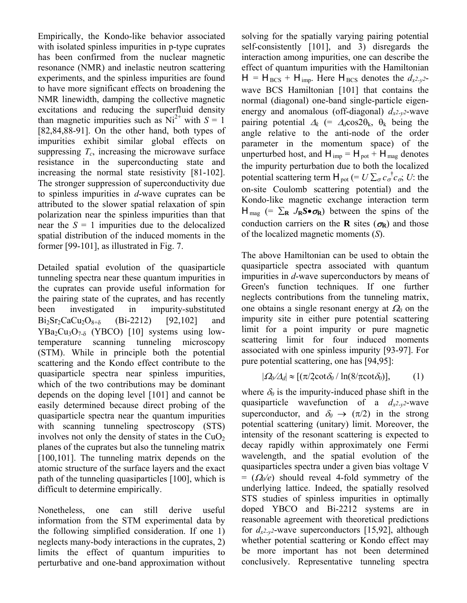Empirically, the Kondo-like behavior associated with isolated spinless impurities in p-type cuprates has been confirmed from the nuclear magnetic resonance (NMR) and inelastic neutron scattering experiments, and the spinless impurities are found to have more significant effects on broadening the NMR linewidth, damping the collective magnetic excitations and reducing the superfluid density than magnetic impurities such as  $Ni^{2+}$  with  $S = 1$ [82,84,88-91]. On the other hand, both types of impurities exhibit similar global effects on suppressing  $T_c$ , increasing the microwave surface resistance in the superconducting state and increasing the normal state resistivity [81-102]. The stronger suppression of superconductivity due to spinless impurities in *d*-wave cuprates can be attributed to the slower spatial relaxation of spin polarization near the spinless impurities than that near the  $S = 1$  impurities due to the delocalized spatial distribution of the induced moments in the former [99-101], as illustrated in Fig. 7.

Detailed spatial evolution of the quasiparticle tunneling spectra near these quantum impurities in the cuprates can provide useful information for the pairing state of the cuprates, and has recently been investigated in impurity-substituted  $Bi_2Sr_2CaCu_2O_{8+δ}$  (Bi-2212) [92,102] and  $YBa<sub>2</sub>Cu<sub>3</sub>O<sub>7-δ</sub>$  (YBCO) [10] systems using lowtemperature scanning tunneling microscopy (STM). While in principle both the potential scattering and the Kondo effect contribute to the quasiparticle spectra near spinless impurities, which of the two contributions may be dominant depends on the doping level [101] and cannot be easily determined because direct probing of the quasiparticle spectra near the quantum impurities with scanning tunneling spectroscopy (STS) involves not only the density of states in the  $CuO<sub>2</sub>$ planes of the cuprates but also the tunneling matrix [100,101]. The tunneling matrix depends on the atomic structure of the surface layers and the exact path of the tunneling quasiparticles [100], which is difficult to determine empirically.

Nonetheless, one can still derive useful information from the STM experimental data by the following simplified consideration. If one 1) neglects many-body interactions in the cuprates, 2) limits the effect of quantum impurities to perturbative and one-band approximation without solving for the spatially varying pairing potential self-consistently [101], and 3) disregards the interaction among impurities, one can describe the effect of quantum impurities with the Hamiltonian  $H = H_{BCS} + H_{imp}$ . Here  $H_{BCS}$  denotes the  $d_{x^2-y^2}$ wave BCS Hamiltonian [101] that contains the normal (diagonal) one-band single-particle eigenenergy and anomalous (off-diagonal)  $d_{x^2-y^2}$ -wave pairing potential  $\Delta_k$  (=  $\Delta_d$ cos2 $\theta_k$ ,  $\theta_k$  being the angle relative to the anti-node of the order parameter in the momentum space) of the unperturbed host, and  $H_{imp} = H_{pot} + H_{mag}$  denotes the impurity perturbation due to both the localized potential scattering term  $H_{pot}$  (=  $U \sum_{\sigma} c_{\sigma}^{\dagger} c_{\sigma}$ ; *U*: the on-site Coulomb scattering potential) and the Kondo-like magnetic exchange interaction term  $H_{\text{mag}}$  (=  $\Sigma_R$  *J<sub>R</sub>S*• $\sigma_R$ ) between the spins of the conduction carriers on the **R** sites ( $\sigma_R$ ) and those of the localized magnetic moments (*S*).

The above Hamiltonian can be used to obtain the quasiparticle spectra associated with quantum impurities in *d*-wave superconductors by means of Green's function techniques. If one further neglects contributions from the tunneling matrix, one obtains a single resonant energy at <sup>Ω</sup>*0* on the impurity site in either pure potential scattering limit for a point impurity or pure magnetic scattering limit for four induced moments associated with one spinless impurity [93-97]. For pure potential scattering, one has [94,95]:

$$
|\varOmega_0/\varDelta_d| \approx [(\pi/2 \cot \delta_0 / \ln(8/\pi \cot \delta_0)], \qquad (1)
$$

where  $\delta_0$  is the impurity-induced phase shift in the quasiparticle wavefunction of a  $d_{x^2-y^2}$ -wave superconductor, and  $\delta_0 \rightarrow (\pi/2)$  in the strong potential scattering (unitary) limit. Moreover, the intensity of the resonant scattering is expected to decay rapidly within approximately one Fermi wavelength, and the spatial evolution of the quasiparticles spectra under a given bias voltage V  $= (\Omega_0/e)$  should reveal 4-fold symmetry of the underlying lattice. Indeed, the spatially resolved STS studies of spinless impurities in optimally doped YBCO and Bi-2212 systems are in reasonable agreement with theoretical predictions for  $d_{x^2-y^2}$ -wave superconductors [15,92], although whether potential scattering or Kondo effect may be more important has not been determined conclusively. Representative tunneling spectra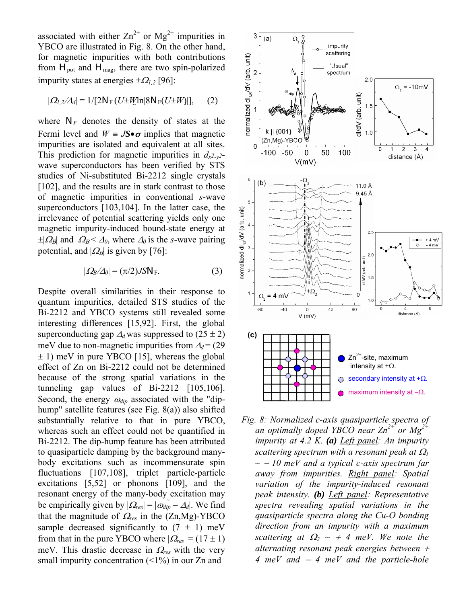associated with either  $\text{Zn}^{2+}$  or  $\text{Mg}^{2+}$  impurities in YBCO are illustrated in Fig. 8. On the other hand, for magnetic impurities with both contributions from  $H_{pot}$  and  $H_{mag}$ , there are two spin-polarized impurity states at energies  $\pm \Omega_{1,2}$  [96]:

$$
|\Omega_{l,2}/\Delta_d| = 1/[2N_F(U \pm W \ln |8N_F(U \pm W)|], \quad (2)
$$

where  $N_F$  denotes the density of states at the Fermi level and  $W = JS \bullet \sigma$  implies that magnetic impurities are isolated and equivalent at all sites. This prediction for magnetic impurities in  $d_{x^2-y^2}$ wave superconductors has been verified by STS studies of Ni-substituted Bi-2212 single crystals [102], and the results are in stark contrast to those of magnetic impurities in conventional *s*-wave superconductors [103,104]. In the latter case, the irrelevance of potential scattering yields only one magnetic impurity-induced bound-state energy at  $\pm |\Omega_B|$  and  $|\Omega_B| < \Delta_0$ , where  $\Delta_0$  is the *s*-wave pairing potential, and  $|Q_B|$  is given by [76]:

$$
|\Omega_B/\Delta_0| = (\pi/2) J S N_F. \tag{3}
$$

Despite overall similarities in their response to quantum impurities, detailed STS studies of the Bi-2212 and YBCO systems still revealed some interesting differences [15,92]. First, the global superconducting gap  $\Delta_d$  was suppressed to (25 ± 2) meV due to non-magnetic impurities from  $\Delta_d$  = (29) ± 1) meV in pure YBCO [15], whereas the global effect of Zn on Bi-2212 could not be determined because of the strong spatial variations in the tunneling gap values of Bi-2212 [105,106]. Second, the energy  $\omega_{div}$  associated with the "diphump" satellite features (see Fig. 8(a)) also shifted substantially relative to that in pure YBCO, whereas such an effect could not be quantified in Bi-2212. The dip-hump feature has been attributed to quasiparticle damping by the background manybody excitations such as incommensurate spin fluctuations [107,108], triplet particle-particle excitations [5,52] or phonons [109], and the resonant energy of the many-body excitation may be empirically given by  $|Q_{res}| = |\omega_{dip} - \Delta_d|$ . We find that the magnitude of <sup>Ω</sup>*res* in the (Zn,Mg)-YBCO sample decreased significantly to  $(7 \pm 1)$  meV from that in the pure YBCO where  $|Q_{res}| = (17 \pm 1)$ meV. This drastic decrease in <sup>Ω</sup>*res* with the very small impurity concentration (<1%) in our Zn and



*Fig. 8: Normalized c-axis quasiparticle spectra of an optimally doped YBCO near Zn2+ or Mg2+ impurity at 4.2 K. (a) Left panel: An impurity scattering spectrum with a resonant peak at*  $\Omega$ <sup>*1</sup>*</sup> *~* − *10 meV and a typical c-axis spectrum far away from impurities. Right panel: Spatial variation of the impurity-induced resonant peak intensity. (b) Left panel: Representative spectra revealing spatial variations in the quasiparticle spectra along the Cu-O bonding direction from an impurity with a maximum scattering at*  $\Omega_2 \sim +4$  *meV. We note the alternating resonant peak energies between* <sup>+</sup> *4 meV and* − *4 meV and the particle-hole*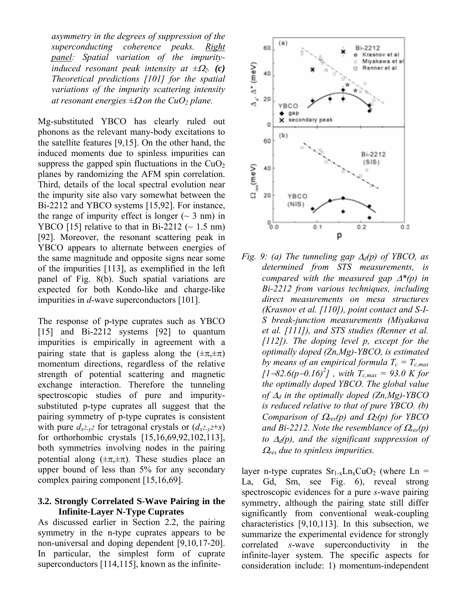*asymmetry in the degrees of suppression of the superconducting coherence peaks. Right panel: Spatial variation of the impurityinduced resonant peak intensity at ±*Ω*2. (c) Theoretical predictions [101] for the spatial variations of the impurity scattering intensity at resonant energies*  $\pm \Omega$  *on the CuO<sub>2</sub> plane.* 

Mg-substituted YBCO has clearly ruled out phonons as the relevant many-body excitations to the satellite features [9,15]. On the other hand, the induced moments due to spinless impurities can suppress the gapped spin fluctuations in the  $CuO<sub>2</sub>$ planes by randomizing the AFM spin correlation. Third, details of the local spectral evolution near the impurity site also vary somewhat between the Bi-2212 and YBCO systems [15,92]. For instance, the range of impurity effect is longer  $(\sim 3 \text{ nm})$  in YBCO [15] relative to that in Bi-2212 ( $\sim$  1.5 nm) [92]. Moreover, the resonant scattering peak in YBCO appears to alternate between energies of the same magnitude and opposite signs near some of the impurities [113], as exemplified in the left panel of Fig. 8(b). Such spatial variations are expected for both Kondo-like and charge-like impurities in *d*-wave superconductors [101].

The response of p-type cuprates such as YBCO [15] and Bi-2212 systems [92] to quantum impurities is empirically in agreement with a pairing state that is gapless along the  $(\pm \pi, \pm \pi)$ momentum directions, regardless of the relative strength of potential scattering and magnetic exchange interaction. Therefore the tunneling spectroscopic studies of pure and impuritysubstituted p-type cuprates all suggest that the pairing symmetry of p-type cuprates is consistent with pure  $d_{x^2-y^2}$  for tetragonal crystals or  $(d_{x^2-y^2}+s)$ for orthorhombic crystals [15,16,69,92,102,113], both symmetries involving nodes in the pairing potential along  $(\pm \pi, \pm \pi)$ . These studies place an upper bound of less than 5% for any secondary complex pairing component [15,16,69].

#### **3.2. Strongly Correlated S-Wave Pairing in the Infinite-Layer N-Type Cuprates**

As discussed earlier in Section 2.2, the pairing symmetry in the n-type cuprates appears to be non-universal and doping dependent [9,10,17-20]. In particular, the simplest form of cuprate superconductors [114,115], known as the infinite-



*Fig. 9: (a) The tunneling gap* ∆*d(p) of YBCO, as determined from STS measurements, is compared with the measured gap* ∆*\*(p) in Bi-2212 from various techniques, including direct measurements on mesa structures (Krasnov et al. [110]), point contact and S-I-S break-junction measurements (Miyakawa et al. [111]), and STS studies (Renner et al. [112]). The doping level p, except for the optimally doped (Zn,Mg)-YBCO, is estimated by means of an empirical formula*  $T_c = T_{c,max}$  $\left[1{-}82.6(p{-}0.16)^2\right]$ , with  $T_{c,max} = 93.0$  K for *the optimally doped YBCO. The global value of* ∆*d in the optimally doped (Zn,Mg)-YBCO is reduced relative to that of pure YBCO. (b) Comparison of* Ω*res(p) and* Ω*2(p) for YBCO and Bi-2212. Note the resemblance of*  $\Omega_{res}(p)$ *to* ∆*d(p), and the significant suppression of*  <sup>Ω</sup>*res due to spinless impurities.* 

layer n-type cuprates  $Sr_{1-x}Ln_xCuO_2$  (where Ln = La, Gd, Sm, see Fig. 6), reveal strong spectroscopic evidences for a pure *s*-wave pairing symmetry, although the pairing state still differ significantly from conventional weak-coupling characteristics [9,10,113]. In this subsection, we summarize the experimental evidence for strongly correlated *s*-wave superconductivity in the infinite-layer system. The specific aspects for consideration include: 1) momentum-independent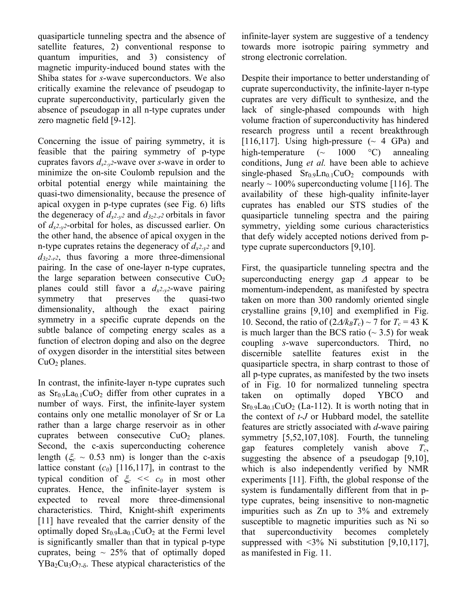quasiparticle tunneling spectra and the absence of satellite features, 2) conventional response to quantum impurities, and 3) consistency of magnetic impurity-induced bound states with the Shiba states for *s*-wave superconductors. We also critically examine the relevance of pseudogap to cuprate superconductivity, particularly given the absence of pseudogap in all n-type cuprates under zero magnetic field [9-12].

Concerning the issue of pairing symmetry, it is feasible that the pairing symmetry of p-type cuprates favors  $d_{x^2-y^2}$ -wave over *s*-wave in order to minimize the on-site Coulomb repulsion and the orbital potential energy while maintaining the quasi-two dimensionality, because the presence of apical oxygen in p-type cuprates (see Fig. 6) lifts the degeneracy of  $d_{x^2-y^2}$  and  $d_{3z^2-r^2}$  orbitals in favor of *dx2-y2*-orbital for holes, as discussed earlier. On the other hand, the absence of apical oxygen in the n-type cuprates retains the degeneracy of  $d_{x^2-y^2}$  and  $d_{3z^2-r^2}$ , thus favoring a more three-dimensional pairing. In the case of one-layer n-type cuprates, the large separation between consecutive  $CuO<sub>2</sub>$ planes could still favor a  $d_{x^2-y^2}$ -wave pairing symmetry that preserves the quasi-two dimensionality, although the exact pairing symmetry in a specific cuprate depends on the subtle balance of competing energy scales as a function of electron doping and also on the degree of oxygen disorder in the interstitial sites between  $CuO<sub>2</sub>$  planes.

In contrast, the infinite-layer n-type cuprates such as  $Sr<sub>0.9</sub>La<sub>0.1</sub>CuO<sub>2</sub>$  differ from other cuprates in a number of ways. First, the infinite-layer system contains only one metallic monolayer of Sr or La rather than a large charge reservoir as in other cuprates between consecutive  $CuO<sub>2</sub>$  planes. Second, the c-axis superconducting coherence length ( $\xi_c \sim 0.53$  nm) is longer than the c-axis lattice constant  $(c_0)$  [116,117], in contrast to the typical condition of  $\xi_c \ll c_0$  in most other cuprates. Hence, the infinite-layer system is expected to reveal more three-dimensional characteristics. Third, Knight-shift experiments [11] have revealed that the carrier density of the optimally doped  $Sr<sub>0.9</sub>La<sub>0.1</sub>CuO<sub>2</sub>$  at the Fermi level is significantly smaller than that in typical p-type cuprates, being  $\sim$  25% that of optimally doped  $YBa<sub>2</sub>Cu<sub>3</sub>O<sub>7-δ</sub>$ . These atypical characteristics of the infinite-layer system are suggestive of a tendency towards more isotropic pairing symmetry and strong electronic correlation.

Despite their importance to better understanding of cuprate superconductivity, the infinite-layer n-type cuprates are very difficult to synthesize, and the lack of single-phased compounds with high volume fraction of superconductivity has hindered research progress until a recent breakthrough [116,117]. Using high-pressure  $( \sim 4 \text{ GPa})$  and high-temperature  $({\sim} 1000 \degree \text{C})$  annealing conditions, Jung *et al.* have been able to achieve single-phased  $Sr<sub>0.9</sub>Ln<sub>0.1</sub>CuO<sub>2</sub>$  compounds with nearly  $\sim$  100% superconducting volume [116]. The availability of these high-quality infinite-layer cuprates has enabled our STS studies of the quasiparticle tunneling spectra and the pairing symmetry, yielding some curious characteristics that defy widely accepted notions derived from ptype cuprate superconductors [9,10].

First, the quasiparticle tunneling spectra and the superconducting energy gap  $\Delta$  appear to be momentum-independent, as manifested by spectra taken on more than 300 randomly oriented single crystalline grains [9,10] and exemplified in Fig. 10. Second, the ratio of  $(2\Delta/k_B T_c) \sim 7$  for  $T_c = 43$  K is much larger than the BCS ratio  $({\sim} 3.5)$  for weak coupling *s*-wave superconductors. Third, no discernible satellite features exist in the quasiparticle spectra, in sharp contrast to those of all p-type cuprates, as manifested by the two insets of in Fig. 10 for normalized tunneling spectra taken on optimally doped YBCO and  $Sr<sub>0.9</sub>La<sub>0.1</sub>CuO<sub>2</sub>$  (La-112). It is worth noting that in the context of *t-J* or Hubbard model, the satellite features are strictly associated with *d*-wave pairing symmetry [5,52,107,108]. Fourth, the tunneling gap features completely vanish above *Tc*, suggesting the absence of a pseudogap [9,10], which is also independently verified by NMR experiments [11]. Fifth, the global response of the system is fundamentally different from that in ptype cuprates, being insensitive to non-magnetic impurities such as Zn up to 3% and extremely susceptible to magnetic impurities such as Ni so that superconductivity becomes completely suppressed with  $\leq 3\%$  Ni substitution [9,10,117], as manifested in Fig. 11.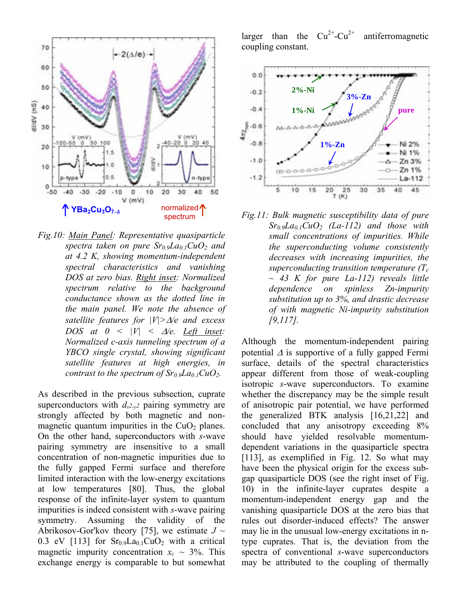

*Fig.10: Main Panel: Representative quasiparticle spectra taken on pure Sr0.9La0.1CuO2 and at 4.2 K, showing momentum-independent spectral characteristics and vanishing DOS at zero bias. Right inset: Normalized spectrum relative to the background conductance shown as the dotted line in the main panel. We note the absence of satellite features for |V|>*∆*/e and excess DOS* at  $0 \leq |V| \leq \Delta/e$ . Left inset: *Normalized c-axis tunneling spectrum of a YBCO single crystal, showing significant satellite features at high energies, in contrast to the spectrum of*  $Sr_0<sub>9</sub>La<sub>01</sub>CuO<sub>2</sub>$ *.* 

As described in the previous subsection, cuprate superconductors with  $d_{x^2-y^2}$  pairing symmetry are strongly affected by both magnetic and nonmagnetic quantum impurities in the  $CuO<sub>2</sub>$  planes. On the other hand, superconductors with *s*-wave pairing symmetry are insensitive to a small concentration of non-magnetic impurities due to the fully gapped Fermi surface and therefore limited interaction with the low-energy excitations at low temperatures [80]. Thus, the global response of the infinite-layer system to quantum impurities is indeed consistent with *s*-wave pairing symmetry. Assuming the validity of the Abrikosov-Gor'kov theory [75], we estimate  $J \sim$ 0.3 eV [113] for  $Sr<sub>0.9</sub>La<sub>0.1</sub>CuO<sub>2</sub>$  with a critical magnetic impurity concentration  $x_c \sim 3\%$ . This exchange energy is comparable to but somewhat

larger than the  $Cu^{2+}-Cu^{2+}$  antiferromagnetic coupling constant.



*Fig.11: Bulk magnetic susceptibility data of pure Sr0.9La0.1CuO2 (La-112) and those with small concentrations of impurities. While the superconducting volume consistently decreases with increasing impurities, the superconducting transition temperature*  $(T_c)$ *~ 43 K for pure La-112) reveals little dependence on spinless Zn-impurity substitution up to 3%, and drastic decrease of with magnetic Ni-impurity substitution [9,117].* 

Although the momentum-independent pairing potential  $\Delta$  is supportive of a fully gapped Fermi surface, details of the spectral characteristics appear different from those of weak-coupling isotropic *s*-wave superconductors. To examine whether the discrepancy may be the simple result of anisotropic pair potential, we have performed the generalized BTK analysis [16,21,22] and concluded that any anisotropy exceeding 8% should have yielded resolvable momentumdependent variations in the quasiparticle spectra [113], as exemplified in Fig. 12. So what may have been the physical origin for the excess subgap quasiparticle DOS (see the right inset of Fig. 10) in the infinite-layer cuprates despite a momentum-independent energy gap and the vanishing quasiparticle DOS at the zero bias that rules out disorder-induced effects? The answer may lie in the unusual low-energy excitations in ntype cuprates. That is, the deviation from the spectra of conventional *s*-wave superconductors may be attributed to the coupling of thermally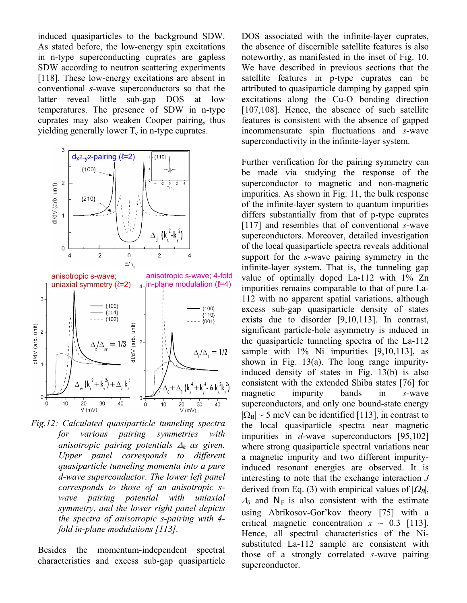induced quasiparticles to the background SDW. As stated before, the low-energy spin excitations in n-type superconducting cuprates are gapless SDW according to neutron scattering experiments [118]. These low-energy excitations are absent in conventional *s*-wave superconductors so that the latter reveal little sub-gap DOS at low temperatures. The presence of SDW in n-type cuprates may also weaken Cooper pairing, thus yielding generally lower  $T_c$  in n-type cuprates.



 $20$ <br>V (mV)  $V$  (mV) *Fig.12: Calculated quasiparticle tunneling spectra for various pairing symmetries with anisotropic pairing potentials* ∆*k as given. Upper panel corresponds to different quasiparticle tunneling momenta into a pure d-wave superconductor. The lower left panel corresponds to those of an anisotropic swave pairing potential with uniaxial symmetry, and the lower right panel depicts the spectra of anisotropic s-pairing with 4 fold in-plane modulations [113].* 

 $+\Delta$  k

 $40$ 

 $\dot{o}$ 

 $10$ 

30

40

 $\overline{0}$  -

 $\circ$ 

 $10$ 

20

30

Besides the momentum-independent spectral characteristics and excess sub-gap quasiparticle DOS associated with the infinite-layer cuprates, the absence of discernible satellite features is also noteworthy, as manifested in the inset of Fig. 10. We have described in previous sections that the satellite features in p-type cuprates can be attributed to quasiparticle damping by gapped spin excitations along the Cu-O bonding direction [107,108]. Hence, the absence of such satellite features is consistent with the absence of gapped incommensurate spin fluctuations and *s*-wave superconductivity in the infinite-layer system.

Further verification for the pairing symmetry can be made via studying the response of the superconductor to magnetic and non-magnetic impurities. As shown in Fig. 11, the bulk response of the infinite-layer system to quantum impurities differs substantially from that of p-type cuprates [117] and resembles that of conventional *s*-wave superconductors. Moreover, detailed investigation of the local quasiparticle spectra reveals additional support for the *s*-wave pairing symmetry in the infinite-layer system. That is, the tunneling gap value of optimally doped La-112 with 1% Zn impurities remains comparable to that of pure La-112 with no apparent spatial variations, although excess sub-gap quasiparticle density of states exists due to disorder [9,10,113]. In contrast, significant particle-hole asymmetry is induced in the quasiparticle tunneling spectra of the La-112 sample with 1% Ni impurities [9,10,113], as shown in Fig. 13(a). The long range impurityinduced density of states in Fig. 13(b) is also consistent with the extended Shiba states [76] for magnetic impurity bands in *s*-wave superconductors, and only one bound-state energy  $|\Omega_B|$  ~ 5 meV can be identified [113], in contrast to the local quasiparticle spectra near magnetic impurities in *d*-wave superconductors [95,102] where strong quasiparticle spectral variations near a magnetic impurity and two different impurityinduced resonant energies are observed. It is interesting to note that the exchange interaction *J* derived from Eq. (3) with empirical values of  $|Q_B|$ ,  $\Delta_0$  and N<sub>F</sub> is also consistent with the estimate using Abrikosov-Gor'kov theory  $[75]$  with a critical magnetic concentration  $x \sim 0.3$  [113]. Hence, all spectral characteristics of the Nisubstituted La-112 sample are consistent with those of a strongly correlated *s*-wave pairing superconductor.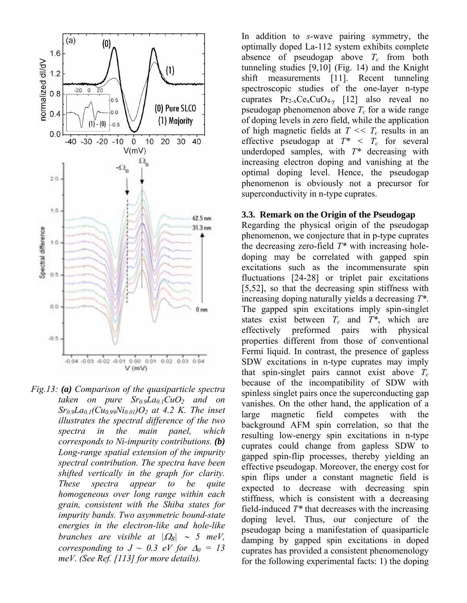

*Fig.13: (a) Comparison of the quasiparticle spectra taken on pure*  $Sr<sub>0.9</sub>La<sub>0.1</sub>C<sub>u</sub>O<sub>2</sub>$  *and on*  $Sr_0, Ia_{0,1}(Cu_{0,99}Ni_{0,01})O_2$  at 4.2 K. The inset *illustrates the spectral difference of the two spectra in the main panel, which corresponds to Ni-impurity contributions. (b) Long-range spatial extension of the impurity spectral contribution. The spectra have been shifted vertically in the graph for clarity. These spectra appear to be quite homogeneous over long range within each grain, consistent with the Shiba states for impurity bands. Two asymmetric bound-state energies in the electron-like and hole-like branches are visible at*  $|\Omega_B| \sim 5$  *meV*, *corresponding to*  $J \sim 0.3$  *eV for*  $\Delta_0 = 13$ *meV. (See Ref. [113] for more details).*

In addition to *s*-wave pairing symmetry, the optimally doped La-112 system exhibits complete absence of pseudogap above  $T_c$  from both tunneling studies [9,10] (Fig. 14) and the Knight shift measurements [11]. Recent tunneling spectroscopic studies of the one-layer n-type cuprates  $Pr_{2-x}Ce_xCuO_{4-y}$  [12] also reveal no pseudogap phenomenon above  $T_c$  for a wide range of doping levels in zero field, while the application of high magnetic fields at  $T \ll T_c$  results in an effective pseudogap at  $T^* < T_c$  for several underdoped samples, with *T\** decreasing with increasing electron doping and vanishing at the optimal doping level. Hence, the pseudogap phenomenon is obviously not a precursor for superconductivity in n-type cuprates.

#### **3.3. Remark on the Origin of the Pseudogap**

Regarding the physical origin of the pseudogap phenomenon, we conjecture that in p-type cuprates the decreasing zero-field *T\** with increasing holedoping may be correlated with gapped spin excitations such as the incommensurate spin fluctuations [24-28] or triplet pair excitations [5,52], so that the decreasing spin stiffness with increasing doping naturally yields a decreasing *T\**. The gapped spin excitations imply spin-singlet states exist between  $T_c$  and  $T^*$ , which are effectively preformed pairs with physical properties different from those of conventional Fermi liquid. In contrast, the presence of gapless SDW excitations in n-type cuprates may imply that spin-singlet pairs cannot exist above  $T_c$ because of the incompatibility of SDW with spinless singlet pairs once the superconducting gap vanishes. On the other hand, the application of a large magnetic field competes with the background AFM spin correlation, so that the resulting low-energy spin excitations in n-type cuprates could change from gapless SDW to gapped spin-flip processes, thereby yielding an effective pseudogap. Moreover, the energy cost for spin flips under a constant magnetic field is expected to decrease with decreasing spin stiffness, which is consistent with a decreasing field-induced *T\** that decreases with the increasing doping level. Thus, our conjecture of the pseudogap being a manifestation of quasiparticle damping by gapped spin excitations in doped cuprates has provided a consistent phenomenology for the following experimental facts: 1) the doping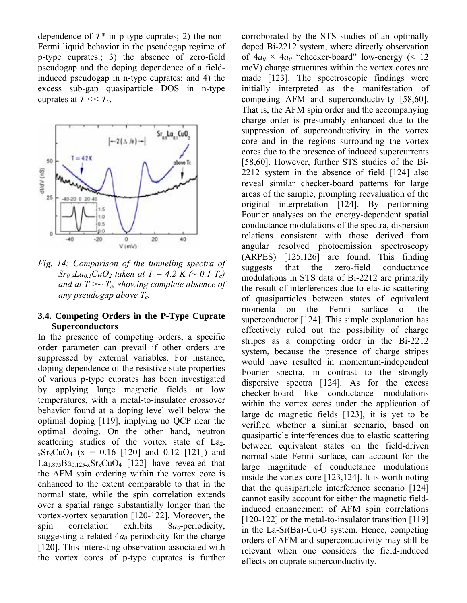dependence of  $T^*$  in p-type cuprates; 2) the non-Fermi liquid behavior in the pseudogap regime of p-type cuprates.; 3) the absence of zero-field pseudogap and the doping dependence of a fieldinduced pseudogap in n-type cuprates; and 4) the excess sub-gap quasiparticle DOS in n-type cuprates at  $T \ll T_c$ .



*Fig. 14: Comparison of the tunneling spectra of Sr<sub>0.9</sub>La<sub>0.1</sub>CuO<sub>2</sub> taken at T = 4.2 K (~ 0.1 T<sub>c</sub>)* and at  $T \rightarrow T_c$ , showing complete absence of *any pseudogap above Tc.* 

### **3.4. Competing Orders in the P-Type Cuprate Superconductors**

In the presence of competing orders, a specific order parameter can prevail if other orders are suppressed by external variables. For instance, doping dependence of the resistive state properties of various p-type cuprates has been investigated by applying large magnetic fields at low temperatures, with a metal-to-insulator crossover behavior found at a doping level well below the optimal doping [119], implying no QCP near the optimal doping. On the other hand, neutron scattering studies of the vortex state of  $La<sub>2</sub>$ - $_{x}Sr_{x}CuO_{4}$  (x = 0.16 [120] and 0.12 [121]) and  $La<sub>1.875</sub>Ba<sub>0.125-x</sub>Sr<sub>x</sub>CuO<sub>4</sub>$  [122] have revealed that the AFM spin ordering within the vortex core is enhanced to the extent comparable to that in the normal state, while the spin correlation extends over a spatial range substantially longer than the vortex-vortex separation [120-122]. Moreover, the spin correlation exhibits  $8a_0$ -periodicity, suggesting a related  $4a_0$ -periodicity for the charge [120]. This interesting observation associated with the vortex cores of p-type cuprates is further corroborated by the STS studies of an optimally doped Bi-2212 system, where directly observation of  $4a_0 \times 4a_0$  "checker-board" low-energy (< 12 meV) charge structures within the vortex cores are made [123]. The spectroscopic findings were initially interpreted as the manifestation of competing AFM and superconductivity [58,60]. That is, the AFM spin order and the accompanying charge order is presumably enhanced due to the suppression of superconductivity in the vortex core and in the regions surrounding the vortex cores due to the presence of induced supercurrents [58,60]. However, further STS studies of the Bi-2212 system in the absence of field [124] also reveal similar checker-board patterns for large areas of the sample, prompting reevaluation of the original interpretation [124]. By performing Fourier analyses on the energy-dependent spatial conductance modulations of the spectra, dispersion relations consistent with those derived from angular resolved photoemission spectroscopy (ARPES) [125,126] are found. This finding suggests that the zero-field conductance modulations in STS data of Bi-2212 are primarily the result of interferences due to elastic scattering of quasiparticles between states of equivalent momenta on the Fermi surface of the superconductor [124]. This simple explanation has effectively ruled out the possibility of charge stripes as a competing order in the Bi-2212 system, because the presence of charge stripes would have resulted in momentum-independent Fourier spectra, in contrast to the strongly dispersive spectra [124]. As for the excess checker-board like conductance modulations within the vortex cores under the application of large dc magnetic fields [123], it is yet to be verified whether a similar scenario, based on quasiparticle interferences due to elastic scattering between equivalent states on the field-driven normal-state Fermi surface, can account for the large magnitude of conductance modulations inside the vortex core [123,124]. It is worth noting that the quasiparticle interference scenario [124] cannot easily account for either the magnetic fieldinduced enhancement of AFM spin correlations [120-122] or the metal-to-insulator transition [119] in the La-Sr(Ba)-Cu-O system. Hence, competing orders of AFM and superconductivity may still be relevant when one considers the field-induced effects on cuprate superconductivity.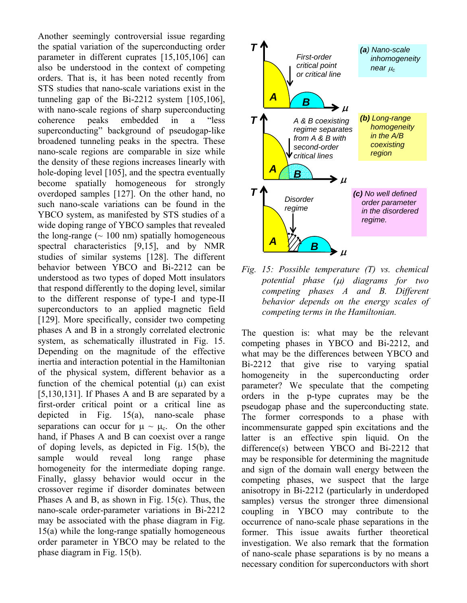Another seemingly controversial issue regarding the spatial variation of the superconducting order parameter in different cuprates [15,105,106] can also be understood in the context of competing orders. That is, it has been noted recently from STS studies that nano-scale variations exist in the tunneling gap of the Bi-2212 system [105,106], with nano-scale regions of sharp superconducting coherence peaks embedded in a "less" superconducting" background of pseudogap-like broadened tunneling peaks in the spectra. These nano-scale regions are comparable in size while the density of these regions increases linearly with hole-doping level [105], and the spectra eventually become spatially homogeneous for strongly overdoped samples [127]. On the other hand, no such nano-scale variations can be found in the YBCO system, as manifested by STS studies of a wide doping range of YBCO samples that revealed the long-range  $(\sim 100 \text{ nm})$  spatially homogeneous spectral characteristics [9,15], and by NMR studies of similar systems [128]. The different behavior between YBCO and Bi-2212 can be understood as two types of doped Mott insulators that respond differently to the doping level, similar to the different response of type-I and type-II superconductors to an applied magnetic field [129]. More specifically, consider two competing phases A and B in a strongly correlated electronic system, as schematically illustrated in Fig. 15. Depending on the magnitude of the effective inertia and interaction potential in the Hamiltonian of the physical system, different behavior as a function of the chemical potential  $(\mu)$  can exist [5,130,131]. If Phases A and B are separated by a first-order critical point or a critical line as depicted in Fig. 15(a), nano-scale phase separations can occur for  $\mu \sim \mu_c$ . On the other hand, if Phases A and B can coexist over a range of doping levels, as depicted in Fig. 15(b), the sample would reveal long range phase homogeneity for the intermediate doping range. Finally, glassy behavior would occur in the crossover regime if disorder dominates between Phases A and B, as shown in Fig. 15(c). Thus, the nano-scale order-parameter variations in Bi-2212 may be associated with the phase diagram in Fig. 15(a) while the long-range spatially homogeneous order parameter in YBCO may be related to the phase diagram in Fig. 15(b).



*Fig. 15: Possible temperature (T) vs. chemical potential phase (*µ*) diagrams for two competing phases A and B. Different behavior depends on the energy scales of competing terms in the Hamiltonian.* 

The question is: what may be the relevant competing phases in YBCO and Bi-2212, and what may be the differences between YBCO and Bi-2212 that give rise to varying spatial homogeneity in the superconducting order parameter? We speculate that the competing orders in the p-type cuprates may be the pseudogap phase and the superconducting state. The former corresponds to a phase with incommensurate gapped spin excitations and the latter is an effective spin liquid. On the difference(s) between YBCO and Bi-2212 that may be responsible for determining the magnitude and sign of the domain wall energy between the competing phases, we suspect that the large anisotropy in Bi-2212 (particularly in underdoped samples) versus the stronger three dimensional coupling in YBCO may contribute to the occurrence of nano-scale phase separations in the former. This issue awaits further theoretical investigation. We also remark that the formation of nano-scale phase separations is by no means a necessary condition for superconductors with short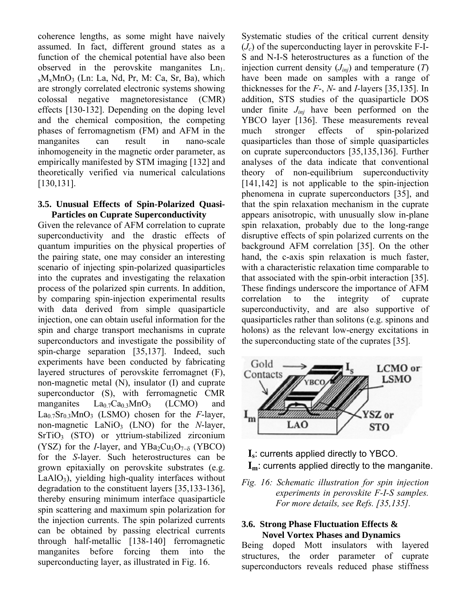coherence lengths, as some might have naively assumed. In fact, different ground states as a function of the chemical potential have also been observed in the perovskite manganites  $Ln<sub>1</sub>$ .  $x_{x}M_{x}M_{0}O_{3}$  (Ln: La, Nd, Pr, M: Ca, Sr, Ba), which are strongly correlated electronic systems showing colossal negative magnetoresistance (CMR) effects [130-132]. Depending on the doping level and the chemical composition, the competing phases of ferromagnetism (FM) and AFM in the manganites can result in nano-scale inhomogeneity in the magnetic order parameter, as empirically manifested by STM imaging [132] and theoretically verified via numerical calculations [130,131].

### **3.5. Unusual Effects of Spin-Polarized Quasi-Particles on Cuprate Superconductivity**

Given the relevance of AFM correlation to cuprate superconductivity and the drastic effects of quantum impurities on the physical properties of the pairing state, one may consider an interesting scenario of injecting spin-polarized quasiparticles into the cuprates and investigating the relaxation process of the polarized spin currents. In addition, by comparing spin-injection experimental results with data derived from simple quasiparticle injection, one can obtain useful information for the spin and charge transport mechanisms in cuprate superconductors and investigate the possibility of spin-charge separation [35,137]. Indeed, such experiments have been conducted by fabricating layered structures of perovskite ferromagnet (F), non-magnetic metal (N), insulator (I) and cuprate superconductor (S), with ferromagnetic CMR manganites  $La_{0.7}Ca_{0.3}MnO_3$  (LCMO) and La0.7Sr0.3MnO3 (LSMO) chosen for the *F*-layer, non-magnetic LaNiO<sub>3</sub> (LNO) for the *N*-layer, SrTiO<sub>3</sub> (STO) or yttrium-stabilized zirconium (YSZ) for the *I*-layer, and YBa<sub>2</sub>Cu<sub>3</sub>O<sub>7−δ</sub> (YBCO) for the *S*-layer. Such heterostructures can be grown epitaxially on perovskite substrates (e.g.  $LaAlO<sub>3</sub>$ , yielding high-quality interfaces without degradation to the constituent layers [35,133-136], thereby ensuring minimum interface quasiparticle spin scattering and maximum spin polarization for the injection currents. The spin polarized currents can be obtained by passing electrical currents through half-metallic [138-140] ferromagnetic manganites before forcing them into the superconducting layer, as illustrated in Fig. 16.

Systematic studies of the critical current density  $(J_c)$  of the superconducting layer in perovskite F-I-S and N-I-S heterostructures as a function of the injection current density  $(J_{inj})$  and temperature  $(T)$ have been made on samples with a range of thicknesses for the *F*-, *N*- and *I-*layers [35,135]. In addition, STS studies of the quasiparticle DOS under finite  $J_{ini}$  have been performed on the YBCO layer [136]. These measurements reveal much stronger effects of spin-polarized quasiparticles than those of simple quasiparticles on cuprate superconductors [35,135,136]. Further analyses of the data indicate that conventional theory of non-equilibrium superconductivity [141,142] is not applicable to the spin-injection phenomena in cuprate superconductors [35], and that the spin relaxation mechanism in the cuprate appears anisotropic, with unusually slow in-plane spin relaxation, probably due to the long-range disruptive effects of spin polarized currents on the background AFM correlation [35]. On the other hand, the c-axis spin relaxation is much faster, with a characteristic relaxation time comparable to that associated with the spin-orbit interaction [35]. These findings underscore the importance of AFM correlation to the integrity of cuprate superconductivity, and are also supportive of quasiparticles rather than solitons (e.g. spinons and holons) as the relevant low-energy excitations in the superconducting state of the cuprates [35].





*Fig. 16: Schematic illustration for spin injection experiments in perovskite F-I-S samples. For more details, see Refs. [35,135].* 

## **3.6. Strong Phase Fluctuation Effects & Novel Vortex Phases and Dynamics**

Being doped Mott insulators with layered structures, the order parameter of cuprate superconductors reveals reduced phase stiffness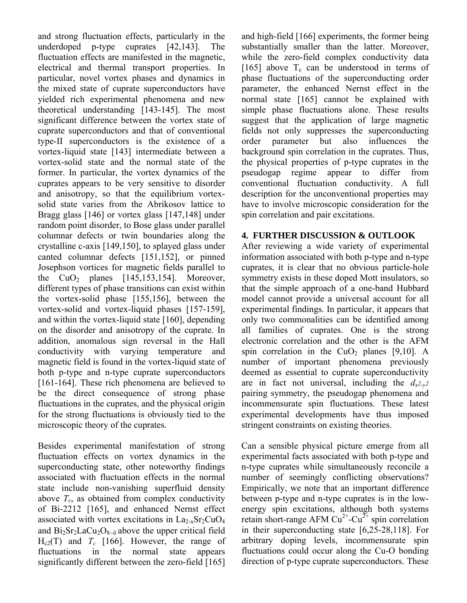and strong fluctuation effects, particularly in the underdoped p-type cuprates [42,143]. The fluctuation effects are manifested in the magnetic, electrical and thermal transport properties. In particular, novel vortex phases and dynamics in the mixed state of cuprate superconductors have yielded rich experimental phenomena and new theoretical understanding [143-145]. The most significant difference between the vortex state of cuprate superconductors and that of conventional type-II superconductors is the existence of a vortex-liquid state [143] intermediate between a vortex-solid state and the normal state of the former. In particular, the vortex dynamics of the cuprates appears to be very sensitive to disorder and anisotropy, so that the equilibrium vortexsolid state varies from the Abrikosov lattice to Bragg glass [146] or vortex glass [147,148] under random point disorder, to Bose glass under parallel columnar defects or twin boundaries along the crystalline c-axis [149,150], to splayed glass under canted columnar defects [151,152], or pinned Josephson vortices for magnetic fields parallel to the  $CuO<sub>2</sub>$  planes [145,153,154]. Moreover, different types of phase transitions can exist within the vortex-solid phase [155,156], between the vortex-solid and vortex-liquid phases [157-159], and within the vortex-liquid state [160], depending on the disorder and anisotropy of the cuprate. In addition, anomalous sign reversal in the Hall conductivity with varying temperature and magnetic field is found in the vortex-liquid state of both p-type and n-type cuprate superconductors [161-164]. These rich phenomena are believed to be the direct consequence of strong phase fluctuations in the cuprates, and the physical origin for the strong fluctuations is obviously tied to the microscopic theory of the cuprates.

Besides experimental manifestation of strong fluctuation effects on vortex dynamics in the superconducting state, other noteworthy findings associated with fluctuation effects in the normal state include non-vanishing superfluid density above  $T_c$ , as obtained from complex conductivity of Bi-2212 [165], and enhanced Nernst effect associated with vortex excitations in  $La_{2-x}Sr_2CuO_4$ and  $Bi<sub>2</sub>Sr<sub>2</sub>LaCu<sub>2</sub>O<sub>8−δ</sub>$  above the upper critical field  $H_{c2}(T)$  and  $T_c$  [166]. However, the range of fluctuations in the normal state appears significantly different between the zero-field [165] and high-field [166] experiments, the former being substantially smaller than the latter. Moreover, while the zero-field complex conductivity data [165] above  $T_c$  can be understood in terms of phase fluctuations of the superconducting order parameter, the enhanced Nernst effect in the normal state [165] cannot be explained with simple phase fluctuations alone. These results suggest that the application of large magnetic fields not only suppresses the superconducting order parameter but also influences the background spin correlation in the cuprates. Thus, the physical properties of p-type cuprates in the pseudogap regime appear to differ from conventional fluctuation conductivity. A full description for the unconventional properties may have to involve microscopic consideration for the spin correlation and pair excitations.

## **4. FURTHER DISCUSSION & OUTLOOK**

After reviewing a wide variety of experimental information associated with both p-type and n-type cuprates, it is clear that no obvious particle-hole symmetry exists in these doped Mott insulators, so that the simple approach of a one-band Hubbard model cannot provide a universal account for all experimental findings. In particular, it appears that only two commonalities can be identified among all families of cuprates. One is the strong electronic correlation and the other is the AFM spin correlation in the  $CuO<sub>2</sub>$  planes [9,10]. A number of important phenomena previously deemed as essential to cuprate superconductivity are in fact not universal, including the  $d_{x^2-y^2}$ pairing symmetry, the pseudogap phenomena and incommensurate spin fluctuations. These latest experimental developments have thus imposed stringent constraints on existing theories.

Can a sensible physical picture emerge from all experimental facts associated with both p-type and n-type cuprates while simultaneously reconcile a number of seemingly conflicting observations? Empirically, we note that an important difference between p-type and n-type cuprates is in the lowenergy spin excitations, although both systems retain short-range AFM  $Cu^{2+}$ -Cu<sup> $2+$ </sup> spin correlation in their superconducting state [6,25-28,118]. For arbitrary doping levels, incommensurate spin fluctuations could occur along the Cu-O bonding direction of p-type cuprate superconductors. These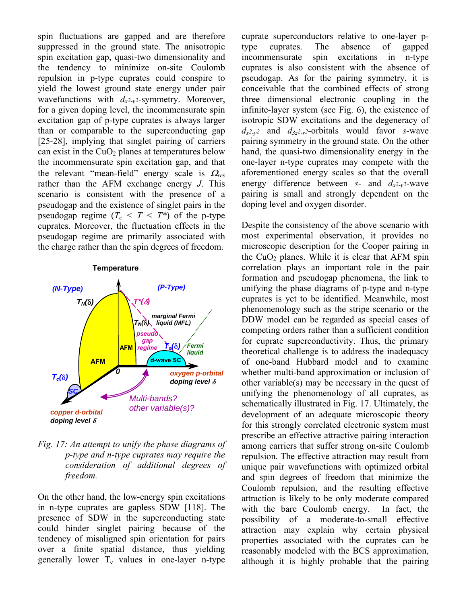spin fluctuations are gapped and are therefore suppressed in the ground state. The anisotropic spin excitation gap, quasi-two dimensionality and the tendency to minimize on-site Coulomb repulsion in p-type cuprates could conspire to yield the lowest ground state energy under pair wavefunctions with  $d_{x^2-y^2}$ -symmetry. Moreover, for a given doping level, the incommensurate spin excitation gap of p-type cuprates is always larger than or comparable to the superconducting gap [25-28], implying that singlet pairing of carriers can exist in the  $CuO<sub>2</sub>$  planes at temperatures below the incommensurate spin excitation gap, and that the relevant "mean-field" energy scale is  $\Omega_{res}$ rather than the AFM exchange energy *J*. This scenario is consistent with the presence of a pseudogap and the existence of singlet pairs in the pseudogap regime  $(T_c < T < T^*)$  of the p-type cuprates. Moreover, the fluctuation effects in the pseudogap regime are primarily associated with the charge rather than the spin degrees of freedom.

#### **Temperature**



*Fig. 17: An attempt to unify the phase diagrams of p-type and n-type cuprates may require the consideration of additional degrees of freedom.* 

On the other hand, the low-energy spin excitations in n-type cuprates are gapless SDW [118]. The presence of SDW in the superconducting state could hinder singlet pairing because of the tendency of misaligned spin orientation for pairs over a finite spatial distance, thus yielding generally lower  $T_c$  values in one-layer n-type

cuprate superconductors relative to one-layer ptype cuprates. The absence of gapped incommensurate spin excitations in n-type cuprates is also consistent with the absence of pseudogap. As for the pairing symmetry, it is conceivable that the combined effects of strong three dimensional electronic coupling in the infinite-layer system (see Fig. 6), the existence of isotropic SDW excitations and the degeneracy of  $d_{x^2-y^2}$  and  $d_{3z^2-y^2}$ -orbitals would favor *s*-wave pairing symmetry in the ground state. On the other hand, the quasi-two dimensionality energy in the one-layer n-type cuprates may compete with the aforementioned energy scales so that the overall energy difference between *s*- and  $d_{x^2-y^2}$ -wave pairing is small and strongly dependent on the doping level and oxygen disorder.

Despite the consistency of the above scenario with most experimental observation, it provides no microscopic description for the Cooper pairing in the  $CuO<sub>2</sub>$  planes. While it is clear that AFM spin correlation plays an important role in the pair formation and pseudogap phenomena, the link to unifying the phase diagrams of p-type and n-type cuprates is yet to be identified. Meanwhile, most phenomenology such as the stripe scenario or the DDW model can be regarded as special cases of competing orders rather than a sufficient condition for cuprate superconductivity. Thus, the primary theoretical challenge is to address the inadequacy of one-band Hubbard model and to examine whether multi-band approximation or inclusion of other variable(s) may be necessary in the quest of unifying the phenomenology of all cuprates, as schematically illustrated in Fig. 17. Ultimately, the development of an adequate microscopic theory for this strongly correlated electronic system must prescribe an effective attractive pairing interaction among carriers that suffer strong on-site Coulomb repulsion. The effective attraction may result from unique pair wavefunctions with optimized orbital and spin degrees of freedom that minimize the Coulomb repulsion, and the resulting effective attraction is likely to be only moderate compared with the bare Coulomb energy. In fact, the possibility of a moderate-to-small effective attraction may explain why certain physical properties associated with the cuprates can be reasonably modeled with the BCS approximation, although it is highly probable that the pairing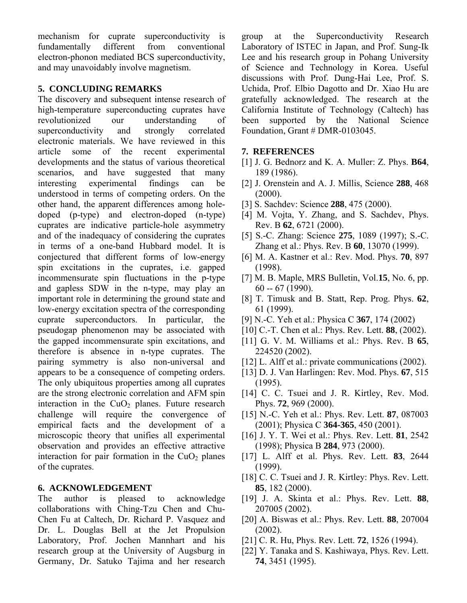mechanism for cuprate superconductivity is fundamentally different from conventional electron-phonon mediated BCS superconductivity, and may unavoidably involve magnetism.

## **5. CONCLUDING REMARKS**

The discovery and subsequent intense research of high-temperature superconducting cuprates have revolutionized our understanding of superconductivity and strongly correlated electronic materials. We have reviewed in this article some of the recent experimental developments and the status of various theoretical scenarios, and have suggested that many interesting experimental findings can be understood in terms of competing orders. On the other hand, the apparent differences among holedoped (p-type) and electron-doped (n-type) cuprates are indicative particle-hole asymmetry and of the inadequacy of considering the cuprates in terms of a one-band Hubbard model. It is conjectured that different forms of low-energy spin excitations in the cuprates, i.e. gapped incommensurate spin fluctuations in the p-type and gapless SDW in the n-type, may play an important role in determining the ground state and low-energy excitation spectra of the corresponding cuprate superconductors. In particular, the pseudogap phenomenon may be associated with the gapped incommensurate spin excitations, and therefore is absence in n-type cuprates. The pairing symmetry is also non-universal and appears to be a consequence of competing orders. The only ubiquitous properties among all cuprates are the strong electronic correlation and AFM spin interaction in the  $CuO<sub>2</sub>$  planes. Future research challenge will require the convergence of empirical facts and the development of a microscopic theory that unifies all experimental observation and provides an effective attractive interaction for pair formation in the  $CuO<sub>2</sub>$  planes of the cuprates.

## **6. ACKNOWLEDGEMENT**

The author is pleased to acknowledge collaborations with Ching-Tzu Chen and Chu-Chen Fu at Caltech, Dr. Richard P. Vasquez and Dr. L. Douglas Bell at the Jet Propulsion Laboratory, Prof. Jochen Mannhart and his research group at the University of Augsburg in Germany, Dr. Satuko Tajima and her research group at the Superconductivity Research Laboratory of ISTEC in Japan, and Prof. Sung-Ik Lee and his research group in Pohang University of Science and Technology in Korea. Useful discussions with Prof. Dung-Hai Lee, Prof. S. Uchida, Prof. Elbio Dagotto and Dr. Xiao Hu are gratefully acknowledged. The research at the California Institute of Technology (Caltech) has been supported by the National Science Foundation, Grant # DMR-0103045.

## **7. REFERENCES**

- [1] J. G. Bednorz and K. A. Muller: Z. Phys. **B64**, 189 (1986).
- [2] J. Orenstein and A. J. Millis, Science **288**, 468  $(2000)$ .
- [3] S. Sachdev: Science **288**, 475 (2000).
- [4] M. Vojta, Y. Zhang, and S. Sachdev, Phys. Rev. B **62**, 6721 (2000).
- [5] S.-C. Zhang: Science **275**, 1089 (1997); S.-C. Zhang et al.: Phys. Rev. B **60**, 13070 (1999).
- [6] M. A. Kastner et al.: Rev. Mod. Phys. **70**, 897 (1998).
- [7] M. B. Maple, MRS Bulletin, Vol.**15**, No. 6, pp. 60 -- 67 (1990).
- [8] T. Timusk and B. Statt, Rep. Prog. Phys. **62**, 61 (1999).
- [9] N.-C. Yeh et al.: Physica C **367**, 174 (2002)
- [10] C.-T. Chen et al.: Phys. Rev. Lett. **88**, (2002).
- [11] G. V. M. Williams et al.: Phys. Rev. B **65**, 224520 (2002).
- [12] L. Alff et al.: private communications (2002).
- [13] D. J. Van Harlingen: Rev. Mod. Phys. **67**, 515 (1995).
- [14] C. C. Tsuei and J. R. Kirtley, Rev. Mod. Phys. **72**, 969 (2000).
- [15] N.-C. Yeh et al.: Phys. Rev. Lett. **87**, 087003 (2001); Physica C **364-365**, 450 (2001).
- [16] J. Y. T. Wei et al.: Phys. Rev. Lett. **81**, 2542 (1998); Physica B **284**, 973 (2000).
- [17] L. Alff et al. Phys. Rev. Lett. **83**, 2644 (1999).
- [18] C. C. Tsuei and J. R. Kirtley: Phys. Rev. Lett. **85**, 182 (2000).
- [19] J. A. Skinta et al.: Phys. Rev. Lett. **88**, 207005 (2002).
- [20] A. Biswas et al.: Phys. Rev. Lett. **88**, 207004 (2002).
- [21] C. R. Hu, Phys. Rev. Lett. **72**, 1526 (1994).
- [22] Y. Tanaka and S. Kashiwaya, Phys. Rev. Lett. **74**, 3451 (1995).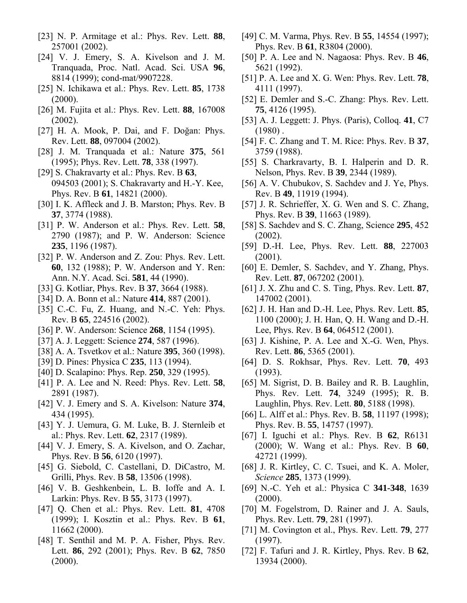- [23] N. P. Armitage et al.: Phys. Rev. Lett. **88**, 257001 (2002).
- [24] V. J. Emery, S. A. Kivelson and J. M. Tranquada, Proc. Natl. Acad. Sci. USA **96**, 8814 (1999); cond-mat/9907228.
- [25] N. Ichikawa et al.: Phys. Rev. Lett. **85**, 1738  $(2000).$
- [26] M. Fujita et al.: Phys. Rev. Lett. **88**, 167008 (2002).
- [27] H. A. Mook, P. Dai, and F. Doğan: Phys. Rev. Lett. **88**, 097004 (2002).
- [28] J. M. Tranquada et al.: Nature **375**, 561 (1995); Phys. Rev. Lett. **78**, 338 (1997).
- [29] S. Chakravarty et al.: Phys. Rev. B **63**, 094503 (2001); S. Chakravarty and H.-Y. Kee, Phys. Rev. B **61**, 14821 (2000).
- [30] I. K. Affleck and J. B. Marston; Phys. Rev. B **37**, 3774 (1988).
- [31] P. W. Anderson et al.: Phys. Rev. Lett. **58**, 2790 (1987); and P. W. Anderson: Science **235**, 1196 (1987).
- [32] P. W. Anderson and Z. Zou: Phys. Rev. Lett. **60**, 132 (1988); P. W. Anderson and Y. Ren: Ann. N.Y. Acad. Sci. **581**, 44 (1990).
- [33] G. Kotliar, Phys. Rev. B **37**, 3664 (1988).
- [34] D. A. Bonn et al.: Nature **414**, 887 (2001).
- [35] C.-C. Fu, Z. Huang, and N.-C. Yeh: Phys. Rev. B **65**, 224516 (2002).
- [36] P. W. Anderson: Science **268**, 1154 (1995).
- [37] A. J. Leggett: Science **274**, 587 (1996).
- [38] A. A. Tsvetkov et al.: Nature **395**, 360 (1998).
- [39] D. Pines: Physica C **235**, 113 (1994).
- [40] D. Scalapino: Phys. Rep. **250**, 329 (1995).
- [41] P. A. Lee and N. Reed: Phys. Rev. Lett. **58**, 2891 (1987).
- [42] V. J. Emery and S. A. Kivelson: Nature **374**, 434 (1995).
- [43] Y. J. Uemura, G. M. Luke, B. J. Sternleib et al.: Phys. Rev. Lett. **62**, 2317 (1989).
- [44] V. J. Emery, S. A. Kivelson, and O. Zachar, Phys. Rev. B **56**, 6120 (1997).
- [45] G. Siebold, C. Castellani, D. DiCastro, M. Grilli, Phys. Rev. B **58**, 13506 (1998).
- [46] V. B. Geshkenbein, L. B. Ioffe and A. I. Larkin: Phys. Rev. B **55**, 3173 (1997).
- [47] Q. Chen et al.: Phys. Rev. Lett. **81**, 4708 (1999); I. Kosztin et al.: Phys. Rev. B **61**, 11662 (2000).
- [48] T. Senthil and M. P. A. Fisher, Phys. Rev. Lett. **86**, 292 (2001); Phys. Rev. B **62**, 7850 (2000).
- [49] C. M. Varma, Phys. Rev. B **55**, 14554 (1997); Phys. Rev. B **61**, R3804 (2000).
- [50] P. A. Lee and N. Nagaosa: Phys. Rev. B **46**, 5621 (1992).
- [51] P. A. Lee and X. G. Wen: Phys. Rev. Lett. **78**, 4111 (1997).
- [52] E. Demler and S.-C. Zhang: Phys. Rev. Lett. **75**, 4126 (1995).
- [53] A. J. Leggett: J. Phys. (Paris), Colloq. **41**, C7  $(1980)$ .
- [54] F. C. Zhang and T. M. Rice: Phys. Rev. B **37**, 3759 (1988).
- [55] S. Charkravarty, B. I. Halperin and D. R. Nelson, Phys. Rev. B **39**, 2344 (1989).
- [56] A. V. Chubukov, S. Sachdev and J. Ye, Phys. Rev. B **49**, 11919 (1994).
- [57] J. R. Schrieffer, X. G. Wen and S. C. Zhang, Phys. Rev. B **39**, 11663 (1989).
- [58] S. Sachdev and S. C. Zhang, Science **295**, 452 (2002).
- [59] D.-H. Lee, Phys. Rev. Lett. **88**, 227003 (2001).
- [60] E. Demler, S. Sachdev, and Y. Zhang, Phys. Rev. Lett. **87**, 067202 (2001).
- [61] J. X. Zhu and C. S. Ting, Phys. Rev. Lett. **87**, 147002 (2001).
- [62] J. H. Han and D.-H. Lee, Phys. Rev. Lett. **85**, 1100 (2000); J. H. Han, Q. H. Wang and D.-H. Lee, Phys. Rev. B **64**, 064512 (2001).
- [63] J. Kishine, P. A. Lee and X.-G. Wen, Phys. Rev. Lett. **86**, 5365 (2001).
- [64] D. S. Rokhsar, Phys. Rev. Lett. **70**, 493 (1993).
- [65] M. Sigrist, D. B. Bailey and R. B. Laughlin, Phys. Rev. Lett. **74**, 3249 (1995); R. B. Laughlin, Phys. Rev. Lett. **80**, 5188 (1998).
- [66] L. Alff et al.: Phys. Rev. B. **58**, 11197 (1998); Phys. Rev. B. **55**, 14757 (1997).
- [67] I. Iguchi et al.: Phys. Rev. B **62**, R6131 (2000); W. Wang et al.: Phys. Rev. B **60**, 42721 (1999).
- [68] J. R. Kirtley, C. C. Tsuei, and K. A. Moler, *Science* **285**, 1373 (1999).
- [69] N.-C. Yeh et al.: Physica C **341-348**, 1639 (2000).
- [70] M. Fogelstrom, D. Rainer and J. A. Sauls, Phys. Rev. Lett. **79**, 281 (1997).
- [71] M. Covington et al., Phys. Rev. Lett. **79**, 277 (1997).
- [72] F. Tafuri and J. R. Kirtley, Phys. Rev. B **62**, 13934 (2000).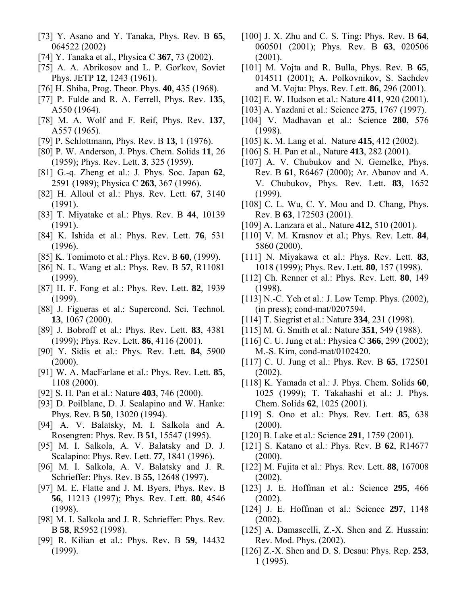- [73] Y. Asano and Y. Tanaka, Phys. Rev. B **65**, 064522 (2002)
- [74] Y. Tanaka et al., Physica C **367**, 73 (2002).
- [75] A. A. Abrikosov and L. P. Gor'kov, Soviet Phys. JETP **12**, 1243 (1961).
- [76] H. Shiba, Prog. Theor. Phys. **40**, 435 (1968).
- [77] P. Fulde and R. A. Ferrell, Phys. Rev. **135**, A550 (1964).
- [78] M. A. Wolf and F. Reif, Phys. Rev. **137**, A557 (1965).
- [79] P. Schlottmann, Phys. Rev. B **13**, 1 (1976).
- [80] P. W. Anderson, J. Phys. Chem. Solids **11**, 26 (1959); Phys. Rev. Lett. **3**, 325 (1959).
- [81] G.-q. Zheng et al.: J. Phys. Soc. Japan **62**, 2591 (1989); Physica C **263**, 367 (1996).
- [82] H. Alloul et al.: Phys. Rev. Lett. **67**, 3140 (1991).
- [83] T. Miyatake et al.: Phys. Rev. B **44**, 10139 (1991).
- [84] K. Ishida et al.: Phys. Rev. Lett. **76**, 531 (1996).
- [85] K. Tomimoto et al.: Phys. Rev. B **60**, (1999).
- [86] N. L. Wang et al.: Phys. Rev. B **57**, R11081 (1999).
- [87] H. F. Fong et al.: Phys. Rev. Lett. **82**, 1939 (1999).
- [88] J. Figueras et al.: Supercond. Sci. Technol. **13**, 1067 (2000).
- [89] J. Bobroff et al.: Phys. Rev. Lett. **83**, 4381 (1999); Phys. Rev. Lett. **86**, 4116 (2001).
- [90] Y. Sidis et al.: Phys. Rev. Lett. **84**, 5900  $(2000).$
- [91] W. A. MacFarlane et al.: Phys. Rev. Lett. **85**, 1108 (2000).
- [92] S. H. Pan et al.: Nature **403**, 746 (2000).
- [93] D. Poilblanc, D. J. Scalapino and W. Hanke: Phys. Rev. B **50**, 13020 (1994).
- [94] A. V. Balatsky, M. I. Salkola and A. Rosengren: Phys. Rev. B **51**, 15547 (1995).
- [95] M. I. Salkola, A. V. Balatsky and D. J. Scalapino: Phys. Rev. Lett. **77**, 1841 (1996).
- [96] M. I. Salkola, A. V. Balatsky and J. R. Schrieffer: Phys. Rev. B **55**, 12648 (1997).
- [97] M. E. Flatte and J. M. Byers, Phys. Rev. B **56**, 11213 (1997); Phys. Rev. Lett. **80**, 4546 (1998).
- [98] M. I. Salkola and J. R. Schrieffer: Phys. Rev. B **58**, R5952 (1998).
- [99] R. Kilian et al.: Phys. Rev. B **59**, 14432 (1999).
- [100] J. X. Zhu and C. S. Ting: Phys. Rev. B **64**, 060501 (2001); Phys. Rev. B **63**, 020506 (2001).
- [101] M. Vojta and R. Bulla, Phys. Rev. B **65**, 014511 (2001); A. Polkovnikov, S. Sachdev and M. Vojta: Phys. Rev. Lett. **86**, 296 (2001).
- [102] E. W. Hudson et al.: Nature **411**, 920 (2001).
- [103] A. Yazdani et al.: Science **275**, 1767 (1997).
- [104] V. Madhavan et al.: Science **280**, 576 (1998).
- [105] K. M. Lang et al. Nature **415**, 412 (2002).
- [106] S. H. Pan et al., Nature **413**, 282 (2001).
- [107] A. V. Chubukov and N. Gemelke, Phys. Rev. B **61**, R6467 (2000); Ar. Abanov and A. V. Chubukov, Phys. Rev. Lett. **83**, 1652 (1999).
- [108] C. L. Wu, C. Y. Mou and D. Chang, Phys. Rev. B **63**, 172503 (2001).
- [109] A. Lanzara et al., Nature **412**, 510 (2001).
- [110] V. M. Krasnov et al.; Phys. Rev. Lett. **84**, 5860 (2000).
- [111] N. Miyakawa et al.: Phys. Rev. Lett. **83**, 1018 (1999); Phys. Rev. Lett. **80**, 157 (1998).
- [112] Ch. Renner et al.: Phys. Rev. Lett. **80**, 149 (1998).
- [113] N.-C. Yeh et al.: J. Low Temp. Phys. (2002), (in press); cond-mat/0207594.
- [114] T. Siegrist et al.: Nature **334**, 231 (1998).
- [115] M. G. Smith et al.: Nature **351**, 549 (1988).
- [116] C. U. Jung et al.: Physica C **366**, 299 (2002); M.-S. Kim, cond-mat/0102420.
- [117] C. U. Jung et al.: Phys. Rev. B **65**, 172501 (2002).
- [118] K. Yamada et al.: J. Phys. Chem. Solids **60**, 1025 (1999); T. Takahashi et al.: J. Phys. Chem. Solids **62**, 1025 (2001).
- [119] S. Ono et al.: Phys. Rev. Lett. **85**, 638  $(2000)$ .
- [120] B. Lake et al.: Science **291**, 1759 (2001).
- [121] S. Katano et al.: Phys. Rev. B **62**, R14677  $(2000).$
- [122] M. Fujita et al.: Phys. Rev. Lett. **88**, 167008 (2002).
- [123] J. E. Hoffman et al.: Science **295**, 466 (2002).
- [124] J. E. Hoffman et al.: Science **297**, 1148 (2002).
- [125] A. Damascelli, Z.-X. Shen and Z. Hussain: Rev. Mod. Phys. (2002).
- [126] Z.-X. Shen and D. S. Desau: Phys. Rep. **253**, 1 (1995).